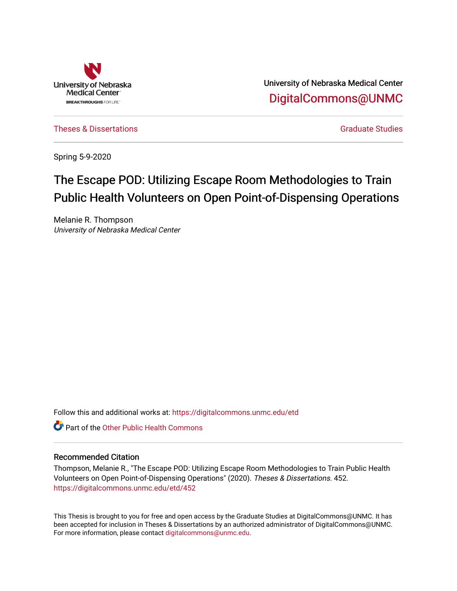

University of Nebraska Medical Center [DigitalCommons@UNMC](https://digitalcommons.unmc.edu/) 

[Theses & Dissertations](https://digitalcommons.unmc.edu/etd) [Graduate Studies](https://digitalcommons.unmc.edu/grad_studies) and Graduate Studies Creations Creations of Graduate Studies

Spring 5-9-2020

# The Escape POD: Utilizing Escape Room Methodologies to Train Public Health Volunteers on Open Point-of-Dispensing Operations

Melanie R. Thompson University of Nebraska Medical Center

Follow this and additional works at: [https://digitalcommons.unmc.edu/etd](https://digitalcommons.unmc.edu/etd?utm_source=digitalcommons.unmc.edu%2Fetd%2F452&utm_medium=PDF&utm_campaign=PDFCoverPages)

**C** Part of the Other Public Health Commons

### Recommended Citation

Thompson, Melanie R., "The Escape POD: Utilizing Escape Room Methodologies to Train Public Health Volunteers on Open Point-of-Dispensing Operations" (2020). Theses & Dissertations. 452. [https://digitalcommons.unmc.edu/etd/452](https://digitalcommons.unmc.edu/etd/452?utm_source=digitalcommons.unmc.edu%2Fetd%2F452&utm_medium=PDF&utm_campaign=PDFCoverPages)

This Thesis is brought to you for free and open access by the Graduate Studies at DigitalCommons@UNMC. It has been accepted for inclusion in Theses & Dissertations by an authorized administrator of DigitalCommons@UNMC. For more information, please contact [digitalcommons@unmc.edu](mailto:digitalcommons@unmc.edu).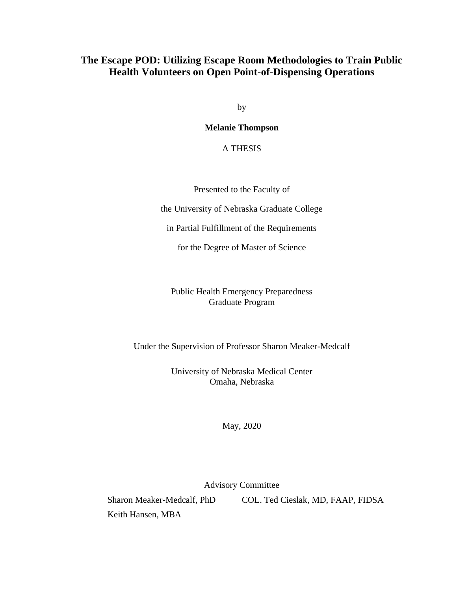## **The Escape POD: Utilizing Escape Room Methodologies to Train Public Health Volunteers on Open Point-of-Dispensing Operations**

by

**Melanie Thompson**

A THESIS

Presented to the Faculty of

the University of Nebraska Graduate College

in Partial Fulfillment of the Requirements

for the Degree of Master of Science

Public Health Emergency Preparedness Graduate Program

Under the Supervision of Professor Sharon Meaker-Medcalf

University of Nebraska Medical Center Omaha, Nebraska

May, 2020

Advisory Committee

Keith Hansen, MBA

Sharon Meaker-Medcalf, PhD COL. Ted Cieslak, MD, FAAP, FIDSA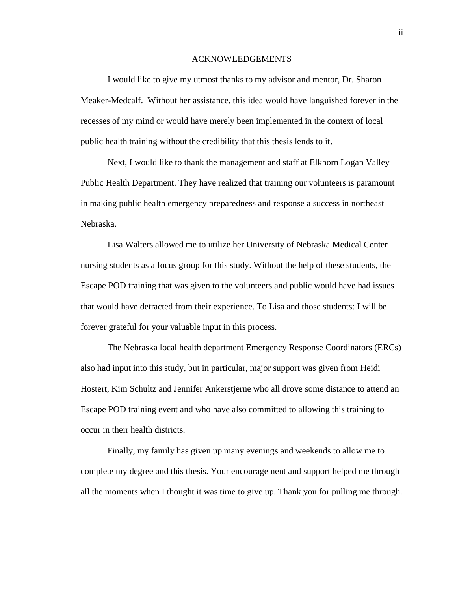#### ACKNOWLEDGEMENTS

I would like to give my utmost thanks to my advisor and mentor, Dr. Sharon Meaker-Medcalf. Without her assistance, this idea would have languished forever in the recesses of my mind or would have merely been implemented in the context of local public health training without the credibility that this thesis lends to it.

Next, I would like to thank the management and staff at Elkhorn Logan Valley Public Health Department. They have realized that training our volunteers is paramount in making public health emergency preparedness and response a success in northeast Nebraska.

Lisa Walters allowed me to utilize her University of Nebraska Medical Center nursing students as a focus group for this study. Without the help of these students, the Escape POD training that was given to the volunteers and public would have had issues that would have detracted from their experience. To Lisa and those students: I will be forever grateful for your valuable input in this process.

The Nebraska local health department Emergency Response Coordinators (ERCs) also had input into this study, but in particular, major support was given from Heidi Hostert, Kim Schultz and Jennifer Ankerstjerne who all drove some distance to attend an Escape POD training event and who have also committed to allowing this training to occur in their health districts.

Finally, my family has given up many evenings and weekends to allow me to complete my degree and this thesis. Your encouragement and support helped me through all the moments when I thought it was time to give up. Thank you for pulling me through.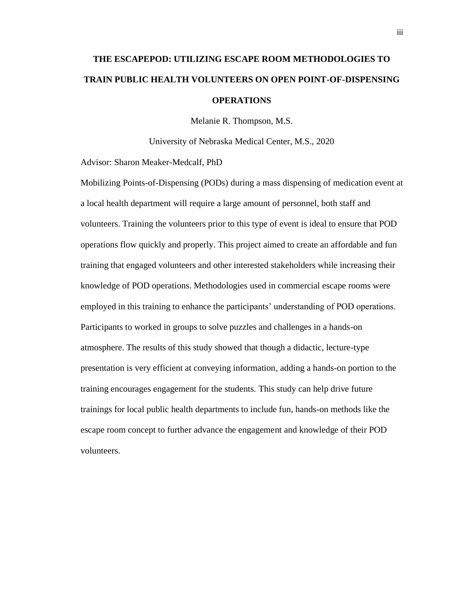# **THE ESCAPEPOD: UTILIZING ESCAPE ROOM METHODOLOGIES TO TRAIN PUBLIC HEALTH VOLUNTEERS ON OPEN POINT-OF-DISPENSING OPERATIONS**

Melanie R. Thompson, M.S.

University of Nebraska Medical Center, M.S., 2020

Advisor: Sharon Meaker-Medcalf, PhD

Mobilizing Points-of-Dispensing (PODs) during a mass dispensing of medication event at a local health department will require a large amount of personnel, both staff and volunteers. Training the volunteers prior to this type of event is ideal to ensure that POD operations flow quickly and properly. This project aimed to create an affordable and fun training that engaged volunteers and other interested stakeholders while increasing their knowledge of POD operations. Methodologies used in commercial escape rooms were employed in this training to enhance the participants' understanding of POD operations. Participants to worked in groups to solve puzzles and challenges in a hands-on atmosphere. The results of this study showed that though a didactic, lecture-type presentation is very efficient at conveying information, adding a hands-on portion to the training encourages engagement for the students. This study can help drive future trainings for local public health departments to include fun, hands-on methods like the escape room concept to further advance the engagement and knowledge of their POD volunteers.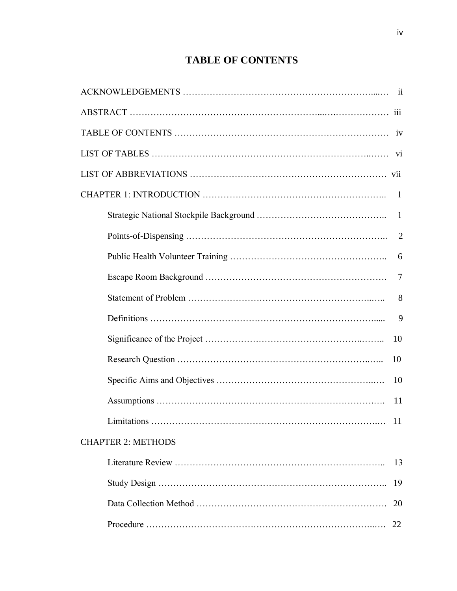## **TABLE OF CONTENTS**

|                           | $\overline{7}$ |
|---------------------------|----------------|
|                           | 8              |
|                           | 9              |
|                           | 10             |
|                           | 10             |
|                           |                |
|                           | 11             |
| Limitations               | 11             |
| <b>CHAPTER 2: METHODS</b> |                |
|                           | 13             |
|                           | 19             |
|                           | 20             |
|                           |                |
|                           |                |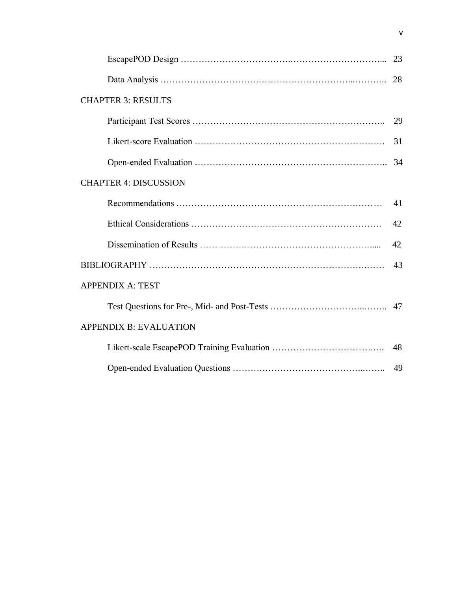| <b>CHAPTER 3: RESULTS</b>     |    |
|-------------------------------|----|
|                               | 29 |
|                               | 31 |
|                               | 34 |
| <b>CHAPTER 4: DISCUSSION</b>  |    |
|                               | 41 |
|                               | 42 |
|                               | 42 |
|                               | 43 |
| <b>APPENDIX A: TEST</b>       |    |
|                               |    |
| <b>APPENDIX B: EVALUATION</b> |    |
|                               | 48 |
|                               |    |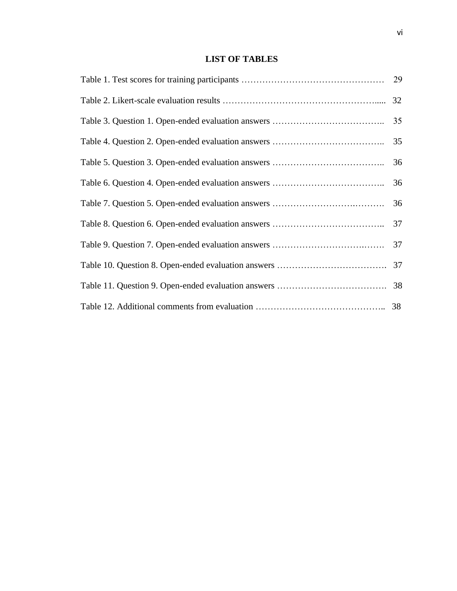## **LIST OF TABLES**

| 35 |
|----|
| 35 |
| 36 |
| 36 |
| 36 |
| 37 |
| 37 |
|    |
|    |
|    |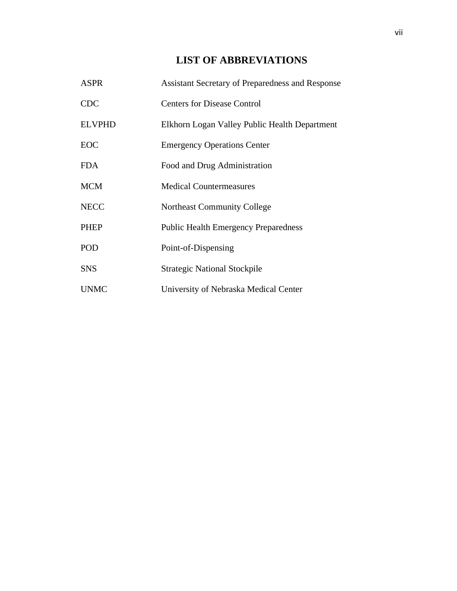## **LIST OF ABBREVIATIONS**

| <b>ASPR</b>   | <b>Assistant Secretary of Preparedness and Response</b> |
|---------------|---------------------------------------------------------|
| <b>CDC</b>    | <b>Centers for Disease Control</b>                      |
| <b>ELVPHD</b> | Elkhorn Logan Valley Public Health Department           |
| <b>EOC</b>    | <b>Emergency Operations Center</b>                      |
| <b>FDA</b>    | Food and Drug Administration                            |
| <b>MCM</b>    | <b>Medical Countermeasures</b>                          |
| <b>NECC</b>   | <b>Northeast Community College</b>                      |
| <b>PHEP</b>   | <b>Public Health Emergency Preparedness</b>             |
| POD           | Point-of-Dispensing                                     |
| <b>SNS</b>    | <b>Strategic National Stockpile</b>                     |
| <b>UNMC</b>   | University of Nebraska Medical Center                   |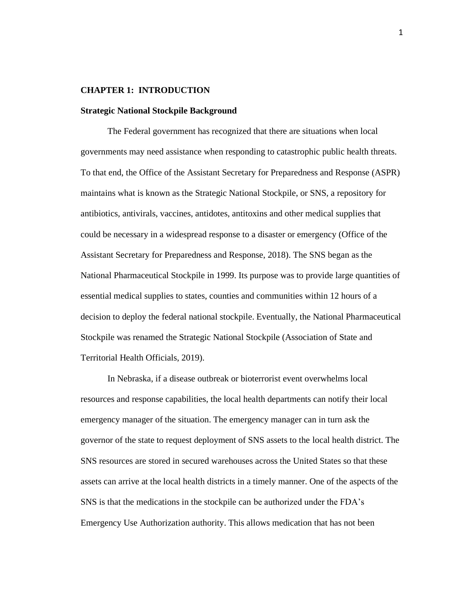#### **CHAPTER 1: INTRODUCTION**

#### **Strategic National Stockpile Background**

The Federal government has recognized that there are situations when local governments may need assistance when responding to catastrophic public health threats. To that end, the Office of the Assistant Secretary for Preparedness and Response (ASPR) maintains what is known as the Strategic National Stockpile, or SNS, a repository for antibiotics, antivirals, vaccines, antidotes, antitoxins and other medical supplies that could be necessary in a widespread response to a disaster or emergency (Office of the Assistant Secretary for Preparedness and Response, 2018). The SNS began as the National Pharmaceutical Stockpile in 1999. Its purpose was to provide large quantities of essential medical supplies to states, counties and communities within 12 hours of a decision to deploy the federal national stockpile. Eventually, the National Pharmaceutical Stockpile was renamed the Strategic National Stockpile (Association of State and Territorial Health Officials, 2019).

In Nebraska, if a disease outbreak or bioterrorist event overwhelms local resources and response capabilities, the local health departments can notify their local emergency manager of the situation. The emergency manager can in turn ask the governor of the state to request deployment of SNS assets to the local health district. The SNS resources are stored in secured warehouses across the United States so that these assets can arrive at the local health districts in a timely manner. One of the aspects of the SNS is that the medications in the stockpile can be authorized under the FDA's Emergency Use Authorization authority. This allows medication that has not been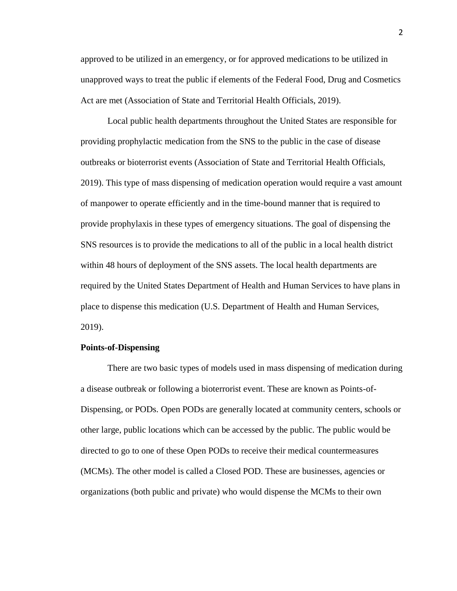approved to be utilized in an emergency, or for approved medications to be utilized in unapproved ways to treat the public if elements of the Federal Food, Drug and Cosmetics Act are met (Association of State and Territorial Health Officials, 2019).

Local public health departments throughout the United States are responsible for providing prophylactic medication from the SNS to the public in the case of disease outbreaks or bioterrorist events (Association of State and Territorial Health Officials, 2019). This type of mass dispensing of medication operation would require a vast amount of manpower to operate efficiently and in the time-bound manner that is required to provide prophylaxis in these types of emergency situations. The goal of dispensing the SNS resources is to provide the medications to all of the public in a local health district within 48 hours of deployment of the SNS assets. The local health departments are required by the United States Department of Health and Human Services to have plans in place to dispense this medication (U.S. Department of Health and Human Services, 2019).

#### **Points-of-Dispensing**

There are two basic types of models used in mass dispensing of medication during a disease outbreak or following a bioterrorist event. These are known as Points-of-Dispensing, or PODs. Open PODs are generally located at community centers, schools or other large, public locations which can be accessed by the public. The public would be directed to go to one of these Open PODs to receive their medical countermeasures (MCMs). The other model is called a Closed POD. These are businesses, agencies or organizations (both public and private) who would dispense the MCMs to their own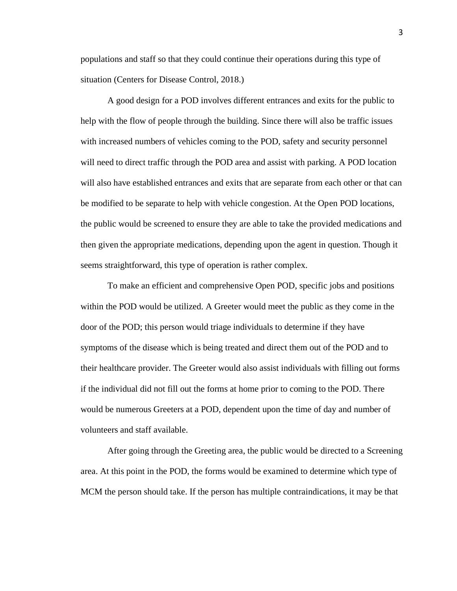populations and staff so that they could continue their operations during this type of situation (Centers for Disease Control, 2018.)

A good design for a POD involves different entrances and exits for the public to help with the flow of people through the building. Since there will also be traffic issues with increased numbers of vehicles coming to the POD, safety and security personnel will need to direct traffic through the POD area and assist with parking. A POD location will also have established entrances and exits that are separate from each other or that can be modified to be separate to help with vehicle congestion. At the Open POD locations, the public would be screened to ensure they are able to take the provided medications and then given the appropriate medications, depending upon the agent in question. Though it seems straightforward, this type of operation is rather complex.

To make an efficient and comprehensive Open POD, specific jobs and positions within the POD would be utilized. A Greeter would meet the public as they come in the door of the POD; this person would triage individuals to determine if they have symptoms of the disease which is being treated and direct them out of the POD and to their healthcare provider. The Greeter would also assist individuals with filling out forms if the individual did not fill out the forms at home prior to coming to the POD. There would be numerous Greeters at a POD, dependent upon the time of day and number of volunteers and staff available.

After going through the Greeting area, the public would be directed to a Screening area. At this point in the POD, the forms would be examined to determine which type of MCM the person should take. If the person has multiple contraindications, it may be that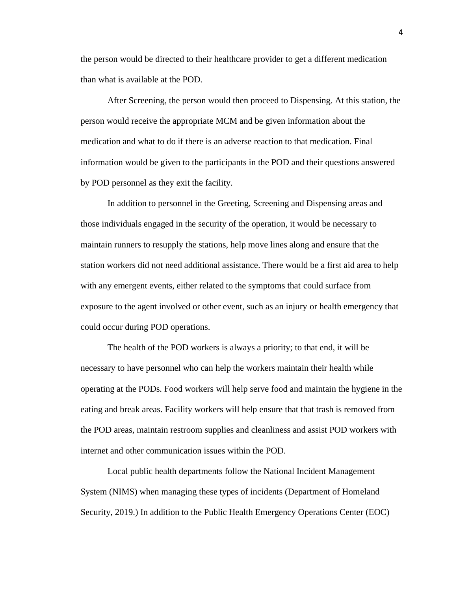the person would be directed to their healthcare provider to get a different medication than what is available at the POD.

After Screening, the person would then proceed to Dispensing. At this station, the person would receive the appropriate MCM and be given information about the medication and what to do if there is an adverse reaction to that medication. Final information would be given to the participants in the POD and their questions answered by POD personnel as they exit the facility.

In addition to personnel in the Greeting, Screening and Dispensing areas and those individuals engaged in the security of the operation, it would be necessary to maintain runners to resupply the stations, help move lines along and ensure that the station workers did not need additional assistance. There would be a first aid area to help with any emergent events, either related to the symptoms that could surface from exposure to the agent involved or other event, such as an injury or health emergency that could occur during POD operations.

The health of the POD workers is always a priority; to that end, it will be necessary to have personnel who can help the workers maintain their health while operating at the PODs. Food workers will help serve food and maintain the hygiene in the eating and break areas. Facility workers will help ensure that that trash is removed from the POD areas, maintain restroom supplies and cleanliness and assist POD workers with internet and other communication issues within the POD.

Local public health departments follow the National Incident Management System (NIMS) when managing these types of incidents (Department of Homeland Security, 2019.) In addition to the Public Health Emergency Operations Center (EOC)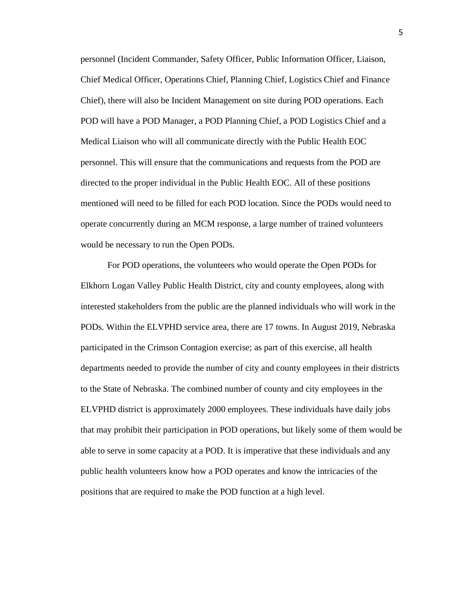personnel (Incident Commander, Safety Officer, Public Information Officer, Liaison, Chief Medical Officer, Operations Chief, Planning Chief, Logistics Chief and Finance Chief), there will also be Incident Management on site during POD operations. Each POD will have a POD Manager, a POD Planning Chief, a POD Logistics Chief and a Medical Liaison who will all communicate directly with the Public Health EOC personnel. This will ensure that the communications and requests from the POD are directed to the proper individual in the Public Health EOC. All of these positions mentioned will need to be filled for each POD location. Since the PODs would need to operate concurrently during an MCM response, a large number of trained volunteers would be necessary to run the Open PODs.

For POD operations, the volunteers who would operate the Open PODs for Elkhorn Logan Valley Public Health District, city and county employees, along with interested stakeholders from the public are the planned individuals who will work in the PODs. Within the ELVPHD service area, there are 17 towns. In August 2019, Nebraska participated in the Crimson Contagion exercise; as part of this exercise, all health departments needed to provide the number of city and county employees in their districts to the State of Nebraska. The combined number of county and city employees in the ELVPHD district is approximately 2000 employees. These individuals have daily jobs that may prohibit their participation in POD operations, but likely some of them would be able to serve in some capacity at a POD. It is imperative that these individuals and any public health volunteers know how a POD operates and know the intricacies of the positions that are required to make the POD function at a high level.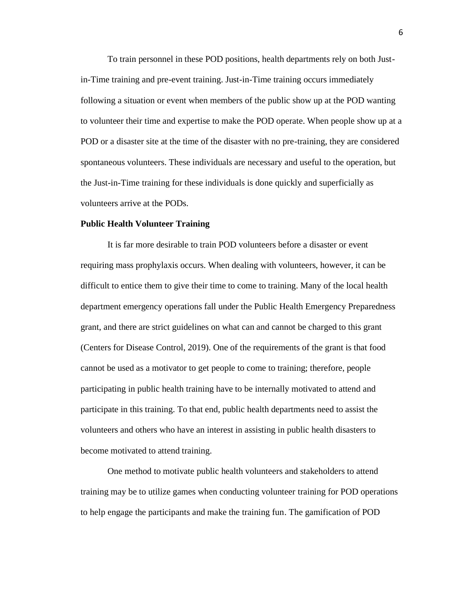To train personnel in these POD positions, health departments rely on both Justin-Time training and pre-event training. Just-in-Time training occurs immediately following a situation or event when members of the public show up at the POD wanting to volunteer their time and expertise to make the POD operate. When people show up at a POD or a disaster site at the time of the disaster with no pre-training, they are considered spontaneous volunteers. These individuals are necessary and useful to the operation, but the Just-in-Time training for these individuals is done quickly and superficially as volunteers arrive at the PODs.

#### **Public Health Volunteer Training**

It is far more desirable to train POD volunteers before a disaster or event requiring mass prophylaxis occurs. When dealing with volunteers, however, it can be difficult to entice them to give their time to come to training. Many of the local health department emergency operations fall under the Public Health Emergency Preparedness grant, and there are strict guidelines on what can and cannot be charged to this grant (Centers for Disease Control, 2019). One of the requirements of the grant is that food cannot be used as a motivator to get people to come to training; therefore, people participating in public health training have to be internally motivated to attend and participate in this training. To that end, public health departments need to assist the volunteers and others who have an interest in assisting in public health disasters to become motivated to attend training.

One method to motivate public health volunteers and stakeholders to attend training may be to utilize games when conducting volunteer training for POD operations to help engage the participants and make the training fun. The gamification of POD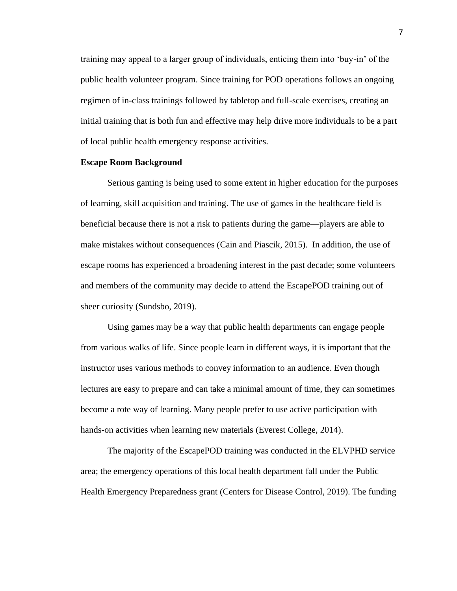training may appeal to a larger group of individuals, enticing them into 'buy-in' of the public health volunteer program. Since training for POD operations follows an ongoing regimen of in-class trainings followed by tabletop and full-scale exercises, creating an initial training that is both fun and effective may help drive more individuals to be a part of local public health emergency response activities.

#### **Escape Room Background**

Serious gaming is being used to some extent in higher education for the purposes of learning, skill acquisition and training. The use of games in the healthcare field is beneficial because there is not a risk to patients during the game—players are able to make mistakes without consequences (Cain and Piascik, 2015). In addition, the use of escape rooms has experienced a broadening interest in the past decade; some volunteers and members of the community may decide to attend the EscapePOD training out of sheer curiosity (Sundsbo, 2019).

Using games may be a way that public health departments can engage people from various walks of life. Since people learn in different ways, it is important that the instructor uses various methods to convey information to an audience. Even though lectures are easy to prepare and can take a minimal amount of time, they can sometimes become a rote way of learning. Many people prefer to use active participation with hands-on activities when learning new materials (Everest College, 2014).

The majority of the EscapePOD training was conducted in the ELVPHD service area; the emergency operations of this local health department fall under the Public Health Emergency Preparedness grant (Centers for Disease Control, 2019). The funding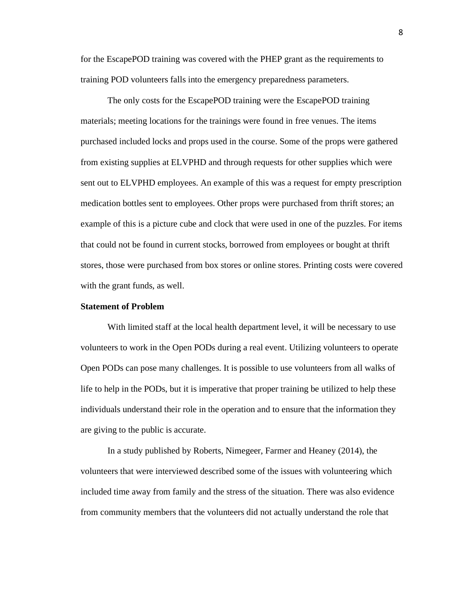for the EscapePOD training was covered with the PHEP grant as the requirements to training POD volunteers falls into the emergency preparedness parameters.

The only costs for the EscapePOD training were the EscapePOD training materials; meeting locations for the trainings were found in free venues. The items purchased included locks and props used in the course. Some of the props were gathered from existing supplies at ELVPHD and through requests for other supplies which were sent out to ELVPHD employees. An example of this was a request for empty prescription medication bottles sent to employees. Other props were purchased from thrift stores; an example of this is a picture cube and clock that were used in one of the puzzles. For items that could not be found in current stocks, borrowed from employees or bought at thrift stores, those were purchased from box stores or online stores. Printing costs were covered with the grant funds, as well.

#### **Statement of Problem**

With limited staff at the local health department level, it will be necessary to use volunteers to work in the Open PODs during a real event. Utilizing volunteers to operate Open PODs can pose many challenges. It is possible to use volunteers from all walks of life to help in the PODs, but it is imperative that proper training be utilized to help these individuals understand their role in the operation and to ensure that the information they are giving to the public is accurate.

In a study published by Roberts, Nimegeer, Farmer and Heaney (2014), the volunteers that were interviewed described some of the issues with volunteering which included time away from family and the stress of the situation. There was also evidence from community members that the volunteers did not actually understand the role that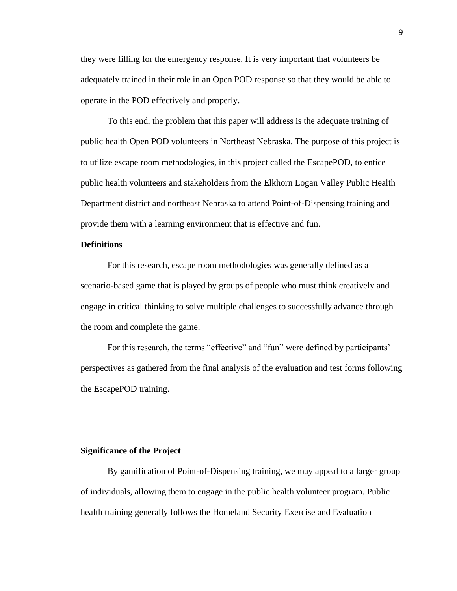they were filling for the emergency response. It is very important that volunteers be adequately trained in their role in an Open POD response so that they would be able to operate in the POD effectively and properly.

To this end, the problem that this paper will address is the adequate training of public health Open POD volunteers in Northeast Nebraska. The purpose of this project is to utilize escape room methodologies, in this project called the EscapePOD, to entice public health volunteers and stakeholders from the Elkhorn Logan Valley Public Health Department district and northeast Nebraska to attend Point-of-Dispensing training and provide them with a learning environment that is effective and fun.

#### **Definitions**

For this research, escape room methodologies was generally defined as a scenario-based game that is played by groups of people who must think creatively and engage in critical thinking to solve multiple challenges to successfully advance through the room and complete the game.

For this research, the terms "effective" and "fun" were defined by participants' perspectives as gathered from the final analysis of the evaluation and test forms following the EscapePOD training.

#### **Significance of the Project**

By gamification of Point-of-Dispensing training, we may appeal to a larger group of individuals, allowing them to engage in the public health volunteer program. Public health training generally follows the Homeland Security Exercise and Evaluation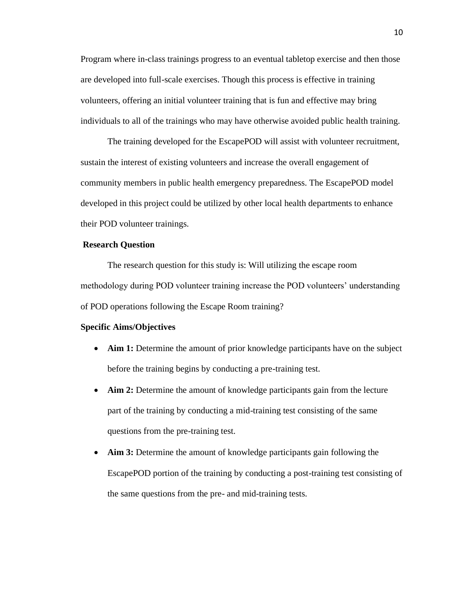Program where in-class trainings progress to an eventual tabletop exercise and then those are developed into full-scale exercises. Though this process is effective in training volunteers, offering an initial volunteer training that is fun and effective may bring individuals to all of the trainings who may have otherwise avoided public health training.

The training developed for the EscapePOD will assist with volunteer recruitment, sustain the interest of existing volunteers and increase the overall engagement of community members in public health emergency preparedness. The EscapePOD model developed in this project could be utilized by other local health departments to enhance their POD volunteer trainings.

#### **Research Question**

The research question for this study is: Will utilizing the escape room methodology during POD volunteer training increase the POD volunteers' understanding of POD operations following the Escape Room training?

#### **Specific Aims/Objectives**

- **Aim 1:** Determine the amount of prior knowledge participants have on the subject before the training begins by conducting a pre-training test.
- **Aim 2:** Determine the amount of knowledge participants gain from the lecture part of the training by conducting a mid-training test consisting of the same questions from the pre-training test.
- **Aim 3:** Determine the amount of knowledge participants gain following the EscapePOD portion of the training by conducting a post-training test consisting of the same questions from the pre- and mid-training tests.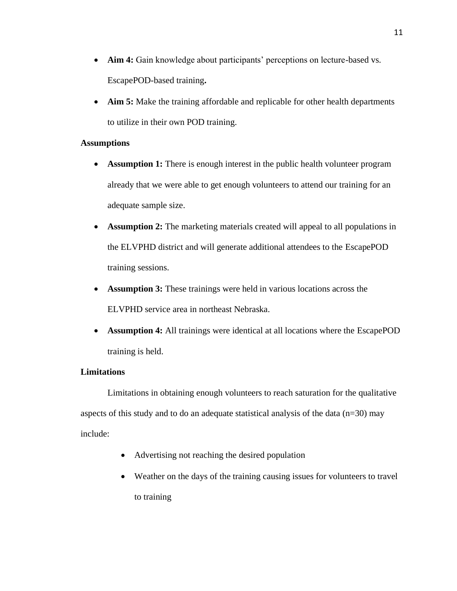- **Aim 4:** Gain knowledge about participants' perceptions on lecture-based vs. EscapePOD-based training**.**
- **Aim 5:** Make the training affordable and replicable for other health departments to utilize in their own POD training.

#### **Assumptions**

- **Assumption 1:** There is enough interest in the public health volunteer program already that we were able to get enough volunteers to attend our training for an adequate sample size.
- **Assumption 2:** The marketing materials created will appeal to all populations in the ELVPHD district and will generate additional attendees to the EscapePOD training sessions.
- **Assumption 3:** These trainings were held in various locations across the ELVPHD service area in northeast Nebraska.
- **Assumption 4:** All trainings were identical at all locations where the EscapePOD training is held.

### **Limitations**

Limitations in obtaining enough volunteers to reach saturation for the qualitative aspects of this study and to do an adequate statistical analysis of the data  $(n=30)$  may include:

- Advertising not reaching the desired population
- Weather on the days of the training causing issues for volunteers to travel to training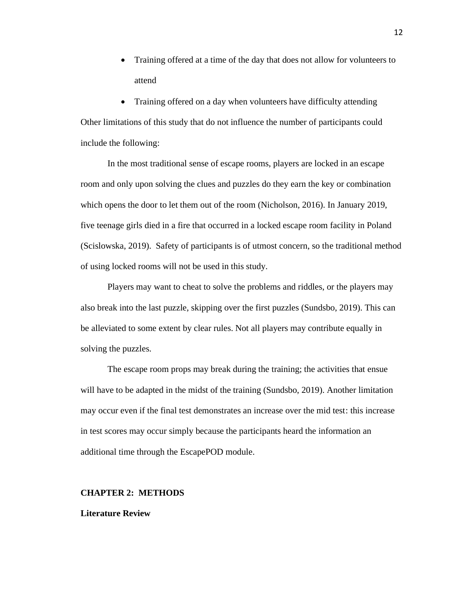• Training offered at a time of the day that does not allow for volunteers to attend

• Training offered on a day when volunteers have difficulty attending Other limitations of this study that do not influence the number of participants could include the following:

In the most traditional sense of escape rooms, players are locked in an escape room and only upon solving the clues and puzzles do they earn the key or combination which opens the door to let them out of the room (Nicholson, 2016). In January 2019, five teenage girls died in a fire that occurred in a locked escape room facility in Poland (Scislowska, 2019). Safety of participants is of utmost concern, so the traditional method of using locked rooms will not be used in this study.

Players may want to cheat to solve the problems and riddles, or the players may also break into the last puzzle, skipping over the first puzzles (Sundsbo, 2019). This can be alleviated to some extent by clear rules. Not all players may contribute equally in solving the puzzles.

The escape room props may break during the training; the activities that ensue will have to be adapted in the midst of the training (Sundsbo, 2019). Another limitation may occur even if the final test demonstrates an increase over the mid test: this increase in test scores may occur simply because the participants heard the information an additional time through the EscapePOD module.

#### **CHAPTER 2: METHODS**

#### **Literature Review**

12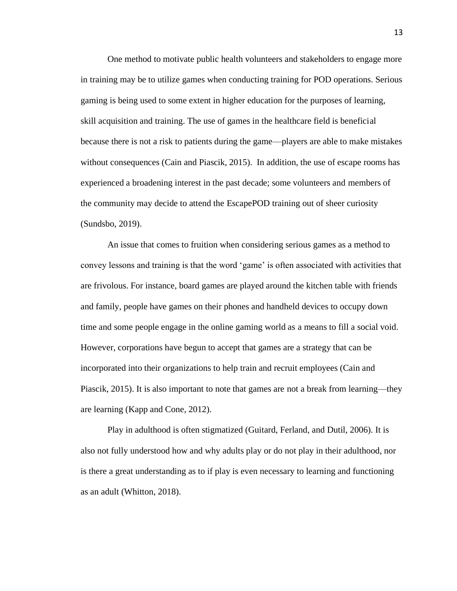One method to motivate public health volunteers and stakeholders to engage more in training may be to utilize games when conducting training for POD operations. Serious gaming is being used to some extent in higher education for the purposes of learning, skill acquisition and training. The use of games in the healthcare field is beneficial because there is not a risk to patients during the game—players are able to make mistakes without consequences (Cain and Piascik, 2015). In addition, the use of escape rooms has experienced a broadening interest in the past decade; some volunteers and members of the community may decide to attend the EscapePOD training out of sheer curiosity (Sundsbo, 2019).

An issue that comes to fruition when considering serious games as a method to convey lessons and training is that the word 'game' is often associated with activities that are frivolous. For instance, board games are played around the kitchen table with friends and family, people have games on their phones and handheld devices to occupy down time and some people engage in the online gaming world as a means to fill a social void. However, corporations have begun to accept that games are a strategy that can be incorporated into their organizations to help train and recruit employees (Cain and Piascik, 2015). It is also important to note that games are not a break from learning—they are learning (Kapp and Cone, 2012).

Play in adulthood is often stigmatized (Guitard, Ferland, and Dutil, 2006). It is also not fully understood how and why adults play or do not play in their adulthood, nor is there a great understanding as to if play is even necessary to learning and functioning as an adult (Whitton, 2018).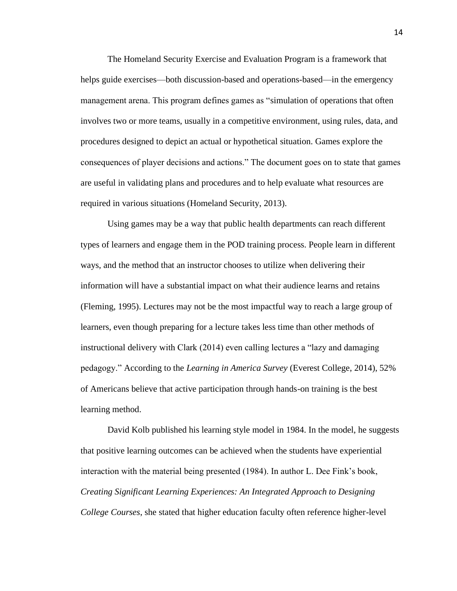The Homeland Security Exercise and Evaluation Program is a framework that helps guide exercises—both discussion-based and operations-based—in the emergency management arena. This program defines games as "simulation of operations that often involves two or more teams, usually in a competitive environment, using rules, data, and procedures designed to depict an actual or hypothetical situation. Games explore the consequences of player decisions and actions." The document goes on to state that games are useful in validating plans and procedures and to help evaluate what resources are required in various situations (Homeland Security, 2013).

Using games may be a way that public health departments can reach different types of learners and engage them in the POD training process. People learn in different ways, and the method that an instructor chooses to utilize when delivering their information will have a substantial impact on what their audience learns and retains (Fleming, 1995). Lectures may not be the most impactful way to reach a large group of learners, even though preparing for a lecture takes less time than other methods of instructional delivery with Clark (2014) even calling lectures a "lazy and damaging pedagogy." According to the *Learning in America Survey* (Everest College, 2014), 52% of Americans believe that active participation through hands-on training is the best learning method.

David Kolb published his learning style model in 1984. In the model, he suggests that positive learning outcomes can be achieved when the students have experiential interaction with the material being presented (1984). In author L. Dee Fink's book, *Creating Significant Learning Experiences: An Integrated Approach to Designing College Courses*, she stated that higher education faculty often reference higher-level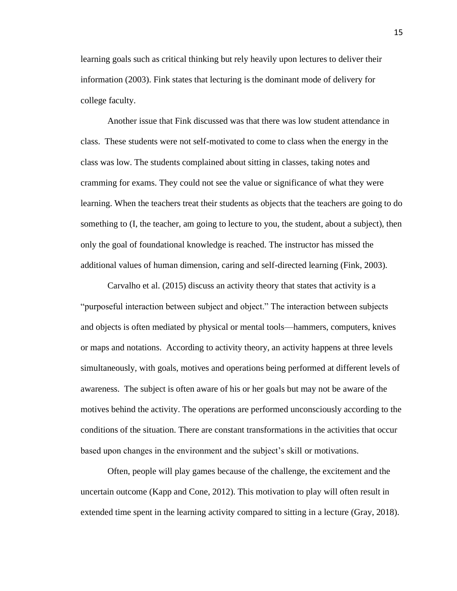learning goals such as critical thinking but rely heavily upon lectures to deliver their information (2003). Fink states that lecturing is the dominant mode of delivery for college faculty.

Another issue that Fink discussed was that there was low student attendance in class. These students were not self-motivated to come to class when the energy in the class was low. The students complained about sitting in classes, taking notes and cramming for exams. They could not see the value or significance of what they were learning. When the teachers treat their students as objects that the teachers are going to do something to (I, the teacher, am going to lecture to you, the student, about a subject), then only the goal of foundational knowledge is reached. The instructor has missed the additional values of human dimension, caring and self-directed learning (Fink, 2003).

Carvalho et al. (2015) discuss an activity theory that states that activity is a "purposeful interaction between subject and object." The interaction between subjects and objects is often mediated by physical or mental tools—hammers, computers, knives or maps and notations. According to activity theory, an activity happens at three levels simultaneously, with goals, motives and operations being performed at different levels of awareness. The subject is often aware of his or her goals but may not be aware of the motives behind the activity. The operations are performed unconsciously according to the conditions of the situation. There are constant transformations in the activities that occur based upon changes in the environment and the subject's skill or motivations.

Often, people will play games because of the challenge, the excitement and the uncertain outcome (Kapp and Cone, 2012). This motivation to play will often result in extended time spent in the learning activity compared to sitting in a lecture (Gray, 2018).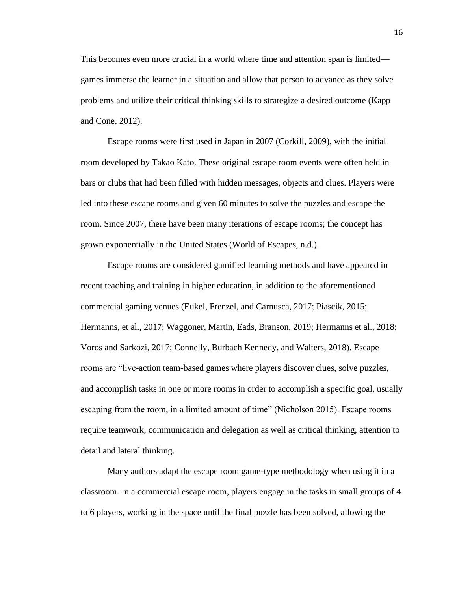This becomes even more crucial in a world where time and attention span is limited games immerse the learner in a situation and allow that person to advance as they solve problems and utilize their critical thinking skills to strategize a desired outcome (Kapp and Cone, 2012).

Escape rooms were first used in Japan in 2007 (Corkill, 2009), with the initial room developed by Takao Kato. These original escape room events were often held in bars or clubs that had been filled with hidden messages, objects and clues. Players were led into these escape rooms and given 60 minutes to solve the puzzles and escape the room. Since 2007, there have been many iterations of escape rooms; the concept has grown exponentially in the United States (World of Escapes, n.d.).

Escape rooms are considered gamified learning methods and have appeared in recent teaching and training in higher education, in addition to the aforementioned commercial gaming venues (Eukel, Frenzel, and Carnusca, 2017; Piascik, 2015; Hermanns, et al., 2017; Waggoner, Martin, Eads, Branson, 2019; Hermanns et al., 2018; Voros and Sarkozi, 2017; Connelly, Burbach Kennedy, and Walters, 2018). Escape rooms are "live-action team-based games where players discover clues, solve puzzles, and accomplish tasks in one or more rooms in order to accomplish a specific goal, usually escaping from the room, in a limited amount of time" (Nicholson 2015). Escape rooms require teamwork, communication and delegation as well as critical thinking, attention to detail and lateral thinking.

Many authors adapt the escape room game-type methodology when using it in a classroom. In a commercial escape room, players engage in the tasks in small groups of 4 to 6 players, working in the space until the final puzzle has been solved, allowing the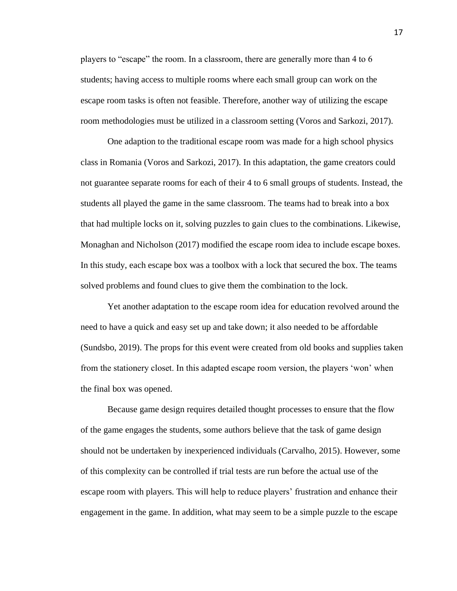players to "escape" the room. In a classroom, there are generally more than 4 to 6 students; having access to multiple rooms where each small group can work on the escape room tasks is often not feasible. Therefore, another way of utilizing the escape room methodologies must be utilized in a classroom setting (Voros and Sarkozi, 2017).

One adaption to the traditional escape room was made for a high school physics class in Romania (Voros and Sarkozi, 2017). In this adaptation, the game creators could not guarantee separate rooms for each of their 4 to 6 small groups of students. Instead, the students all played the game in the same classroom. The teams had to break into a box that had multiple locks on it, solving puzzles to gain clues to the combinations. Likewise, Monaghan and Nicholson (2017) modified the escape room idea to include escape boxes. In this study, each escape box was a toolbox with a lock that secured the box. The teams solved problems and found clues to give them the combination to the lock.

Yet another adaptation to the escape room idea for education revolved around the need to have a quick and easy set up and take down; it also needed to be affordable (Sundsbo, 2019). The props for this event were created from old books and supplies taken from the stationery closet. In this adapted escape room version, the players 'won' when the final box was opened.

Because game design requires detailed thought processes to ensure that the flow of the game engages the students, some authors believe that the task of game design should not be undertaken by inexperienced individuals (Carvalho, 2015). However, some of this complexity can be controlled if trial tests are run before the actual use of the escape room with players. This will help to reduce players' frustration and enhance their engagement in the game. In addition, what may seem to be a simple puzzle to the escape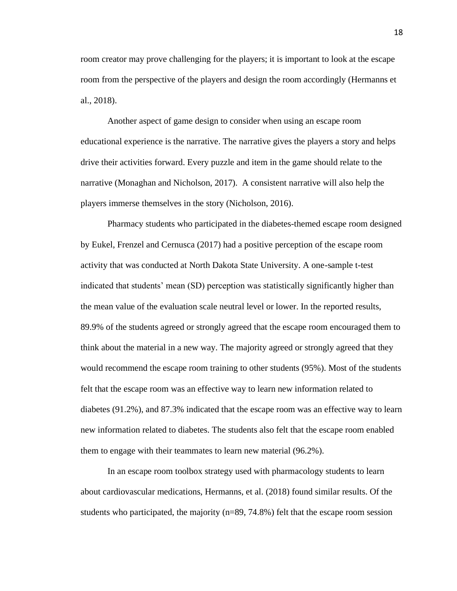room creator may prove challenging for the players; it is important to look at the escape room from the perspective of the players and design the room accordingly (Hermanns et al., 2018).

Another aspect of game design to consider when using an escape room educational experience is the narrative. The narrative gives the players a story and helps drive their activities forward. Every puzzle and item in the game should relate to the narrative (Monaghan and Nicholson, 2017). A consistent narrative will also help the players immerse themselves in the story (Nicholson, 2016).

Pharmacy students who participated in the diabetes-themed escape room designed by Eukel, Frenzel and Cernusca (2017) had a positive perception of the escape room activity that was conducted at North Dakota State University. A one-sample t-test indicated that students' mean (SD) perception was statistically significantly higher than the mean value of the evaluation scale neutral level or lower. In the reported results, 89.9% of the students agreed or strongly agreed that the escape room encouraged them to think about the material in a new way. The majority agreed or strongly agreed that they would recommend the escape room training to other students (95%). Most of the students felt that the escape room was an effective way to learn new information related to diabetes (91.2%), and 87.3% indicated that the escape room was an effective way to learn new information related to diabetes. The students also felt that the escape room enabled them to engage with their teammates to learn new material (96.2%).

In an escape room toolbox strategy used with pharmacology students to learn about cardiovascular medications, Hermanns, et al. (2018) found similar results. Of the students who participated, the majority (n=89, 74.8%) felt that the escape room session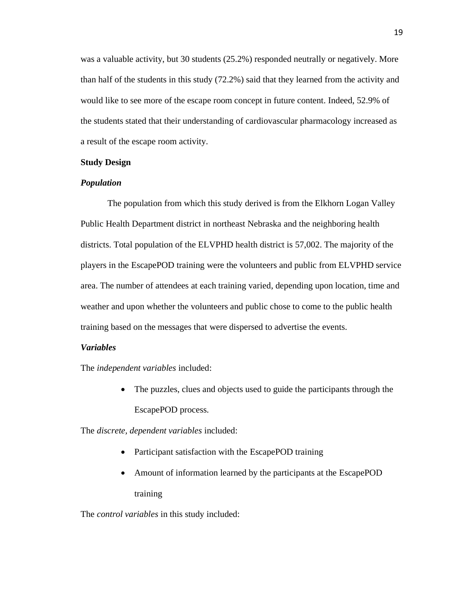was a valuable activity, but 30 students (25.2%) responded neutrally or negatively. More than half of the students in this study (72.2%) said that they learned from the activity and would like to see more of the escape room concept in future content. Indeed, 52.9% of the students stated that their understanding of cardiovascular pharmacology increased as a result of the escape room activity.

#### **Study Design**

#### *Population*

The population from which this study derived is from the Elkhorn Logan Valley Public Health Department district in northeast Nebraska and the neighboring health districts. Total population of the ELVPHD health district is 57,002. The majority of the players in the EscapePOD training were the volunteers and public from ELVPHD service area. The number of attendees at each training varied, depending upon location, time and weather and upon whether the volunteers and public chose to come to the public health training based on the messages that were dispersed to advertise the events.

#### *Variables*

The *independent variables* included:

• The puzzles, clues and objects used to guide the participants through the EscapePOD process.

The *discrete, dependent variables* included:

- Participant satisfaction with the EscapePOD training
- Amount of information learned by the participants at the EscapePOD training

The *control variables* in this study included: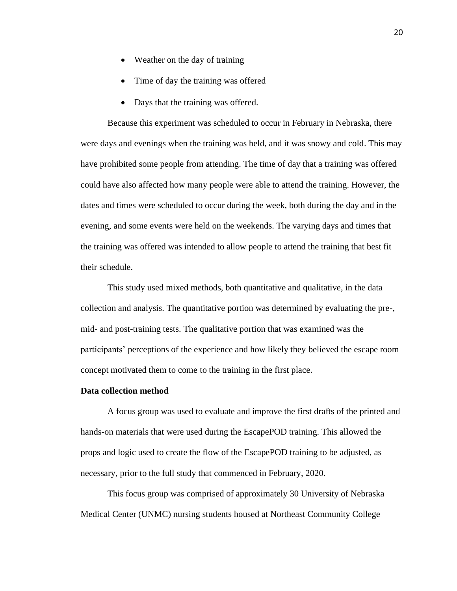- Weather on the day of training
- Time of day the training was offered
- Days that the training was offered.

Because this experiment was scheduled to occur in February in Nebraska, there were days and evenings when the training was held, and it was snowy and cold. This may have prohibited some people from attending. The time of day that a training was offered could have also affected how many people were able to attend the training. However, the dates and times were scheduled to occur during the week, both during the day and in the evening, and some events were held on the weekends. The varying days and times that the training was offered was intended to allow people to attend the training that best fit their schedule.

This study used mixed methods, both quantitative and qualitative, in the data collection and analysis. The quantitative portion was determined by evaluating the pre-, mid- and post-training tests. The qualitative portion that was examined was the participants' perceptions of the experience and how likely they believed the escape room concept motivated them to come to the training in the first place.

#### **Data collection method**

A focus group was used to evaluate and improve the first drafts of the printed and hands-on materials that were used during the EscapePOD training. This allowed the props and logic used to create the flow of the EscapePOD training to be adjusted, as necessary, prior to the full study that commenced in February, 2020.

This focus group was comprised of approximately 30 University of Nebraska Medical Center (UNMC) nursing students housed at Northeast Community College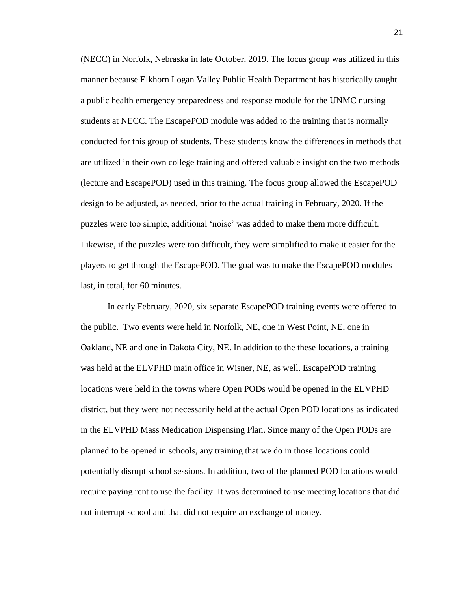(NECC) in Norfolk, Nebraska in late October, 2019. The focus group was utilized in this manner because Elkhorn Logan Valley Public Health Department has historically taught a public health emergency preparedness and response module for the UNMC nursing students at NECC. The EscapePOD module was added to the training that is normally conducted for this group of students. These students know the differences in methods that are utilized in their own college training and offered valuable insight on the two methods (lecture and EscapePOD) used in this training. The focus group allowed the EscapePOD design to be adjusted, as needed, prior to the actual training in February, 2020. If the puzzles were too simple, additional 'noise' was added to make them more difficult. Likewise, if the puzzles were too difficult, they were simplified to make it easier for the players to get through the EscapePOD. The goal was to make the EscapePOD modules last, in total, for 60 minutes.

In early February, 2020, six separate EscapePOD training events were offered to the public. Two events were held in Norfolk, NE, one in West Point, NE, one in Oakland, NE and one in Dakota City, NE. In addition to the these locations, a training was held at the ELVPHD main office in Wisner, NE, as well. EscapePOD training locations were held in the towns where Open PODs would be opened in the ELVPHD district, but they were not necessarily held at the actual Open POD locations as indicated in the ELVPHD Mass Medication Dispensing Plan. Since many of the Open PODs are planned to be opened in schools, any training that we do in those locations could potentially disrupt school sessions. In addition, two of the planned POD locations would require paying rent to use the facility. It was determined to use meeting locations that did not interrupt school and that did not require an exchange of money.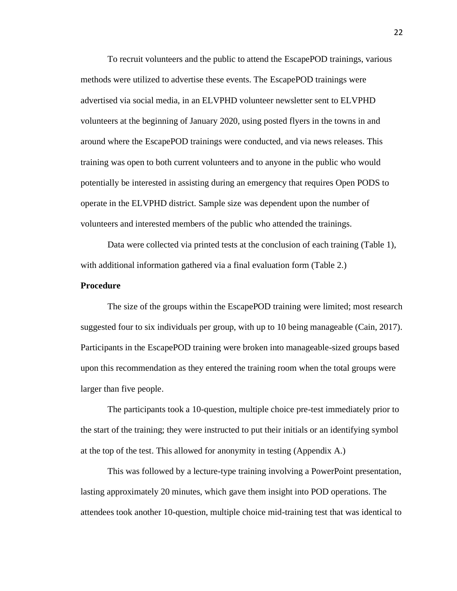To recruit volunteers and the public to attend the EscapePOD trainings, various methods were utilized to advertise these events. The EscapePOD trainings were advertised via social media, in an ELVPHD volunteer newsletter sent to ELVPHD volunteers at the beginning of January 2020, using posted flyers in the towns in and around where the EscapePOD trainings were conducted, and via news releases. This training was open to both current volunteers and to anyone in the public who would potentially be interested in assisting during an emergency that requires Open PODS to operate in the ELVPHD district. Sample size was dependent upon the number of volunteers and interested members of the public who attended the trainings.

Data were collected via printed tests at the conclusion of each training (Table 1), with additional information gathered via a final evaluation form (Table 2.)

#### **Procedure**

The size of the groups within the EscapePOD training were limited; most research suggested four to six individuals per group, with up to 10 being manageable (Cain, 2017). Participants in the EscapePOD training were broken into manageable-sized groups based upon this recommendation as they entered the training room when the total groups were larger than five people.

The participants took a 10-question, multiple choice pre-test immediately prior to the start of the training; they were instructed to put their initials or an identifying symbol at the top of the test. This allowed for anonymity in testing (Appendix A.)

This was followed by a lecture-type training involving a PowerPoint presentation, lasting approximately 20 minutes, which gave them insight into POD operations. The attendees took another 10-question, multiple choice mid-training test that was identical to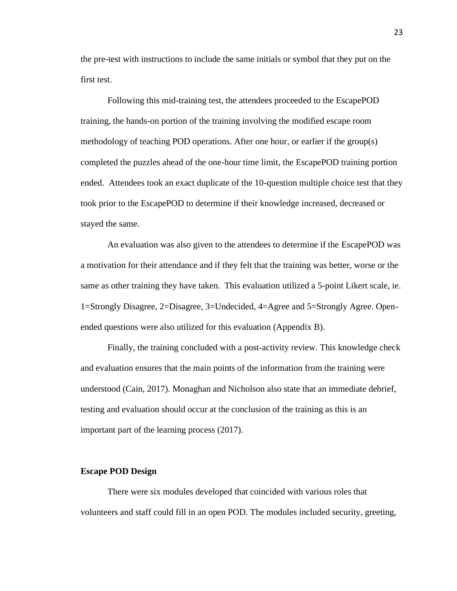the pre-test with instructions to include the same initials or symbol that they put on the first test.

Following this mid-training test, the attendees proceeded to the EscapePOD training, the hands-on portion of the training involving the modified escape room methodology of teaching POD operations. After one hour, or earlier if the group(s) completed the puzzles ahead of the one-hour time limit, the EscapePOD training portion ended. Attendees took an exact duplicate of the 10-question multiple choice test that they took prior to the EscapePOD to determine if their knowledge increased, decreased or stayed the same.

An evaluation was also given to the attendees to determine if the EscapePOD was a motivation for their attendance and if they felt that the training was better, worse or the same as other training they have taken. This evaluation utilized a 5-point Likert scale, ie. 1=Strongly Disagree, 2=Disagree, 3=Undecided, 4=Agree and 5=Strongly Agree. Openended questions were also utilized for this evaluation (Appendix B).

Finally, the training concluded with a post-activity review. This knowledge check and evaluation ensures that the main points of the information from the training were understood (Cain, 2017). Monaghan and Nicholson also state that an immediate debrief, testing and evaluation should occur at the conclusion of the training as this is an important part of the learning process (2017).

#### **Escape POD Design**

There were six modules developed that coincided with various roles that volunteers and staff could fill in an open POD. The modules included security, greeting,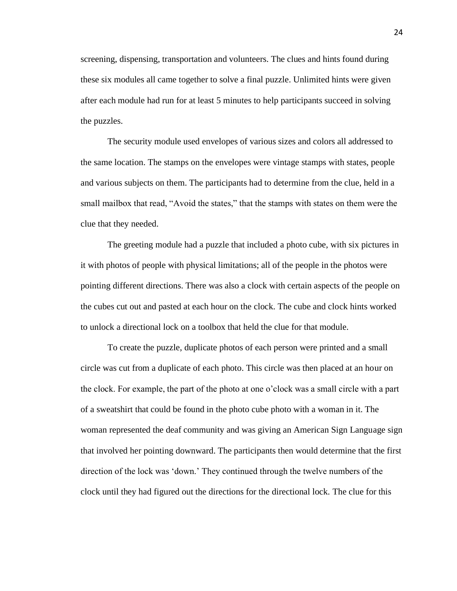screening, dispensing, transportation and volunteers. The clues and hints found during these six modules all came together to solve a final puzzle. Unlimited hints were given after each module had run for at least 5 minutes to help participants succeed in solving the puzzles.

The security module used envelopes of various sizes and colors all addressed to the same location. The stamps on the envelopes were vintage stamps with states, people and various subjects on them. The participants had to determine from the clue, held in a small mailbox that read, "Avoid the states," that the stamps with states on them were the clue that they needed.

The greeting module had a puzzle that included a photo cube, with six pictures in it with photos of people with physical limitations; all of the people in the photos were pointing different directions. There was also a clock with certain aspects of the people on the cubes cut out and pasted at each hour on the clock. The cube and clock hints worked to unlock a directional lock on a toolbox that held the clue for that module.

To create the puzzle, duplicate photos of each person were printed and a small circle was cut from a duplicate of each photo. This circle was then placed at an hour on the clock. For example, the part of the photo at one o'clock was a small circle with a part of a sweatshirt that could be found in the photo cube photo with a woman in it. The woman represented the deaf community and was giving an American Sign Language sign that involved her pointing downward. The participants then would determine that the first direction of the lock was 'down.' They continued through the twelve numbers of the clock until they had figured out the directions for the directional lock. The clue for this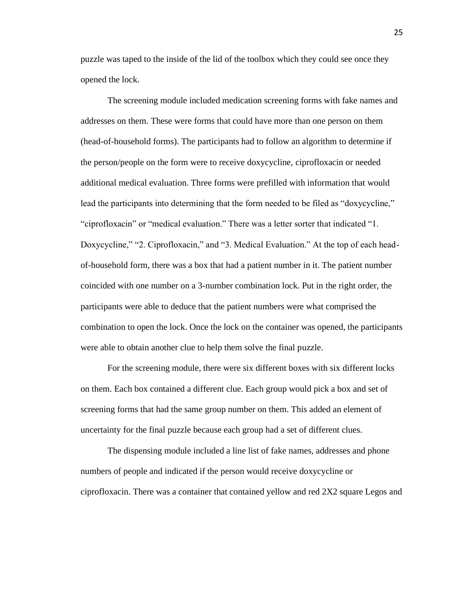puzzle was taped to the inside of the lid of the toolbox which they could see once they opened the lock.

The screening module included medication screening forms with fake names and addresses on them. These were forms that could have more than one person on them (head-of-household forms). The participants had to follow an algorithm to determine if the person/people on the form were to receive doxycycline, ciprofloxacin or needed additional medical evaluation. Three forms were prefilled with information that would lead the participants into determining that the form needed to be filed as "doxycycline," "ciprofloxacin" or "medical evaluation." There was a letter sorter that indicated "1. Doxycycline," "2. Ciprofloxacin," and "3. Medical Evaluation." At the top of each headof-household form, there was a box that had a patient number in it. The patient number coincided with one number on a 3-number combination lock. Put in the right order, the participants were able to deduce that the patient numbers were what comprised the combination to open the lock. Once the lock on the container was opened, the participants were able to obtain another clue to help them solve the final puzzle.

For the screening module, there were six different boxes with six different locks on them. Each box contained a different clue. Each group would pick a box and set of screening forms that had the same group number on them. This added an element of uncertainty for the final puzzle because each group had a set of different clues.

The dispensing module included a line list of fake names, addresses and phone numbers of people and indicated if the person would receive doxycycline or ciprofloxacin. There was a container that contained yellow and red 2X2 square Legos and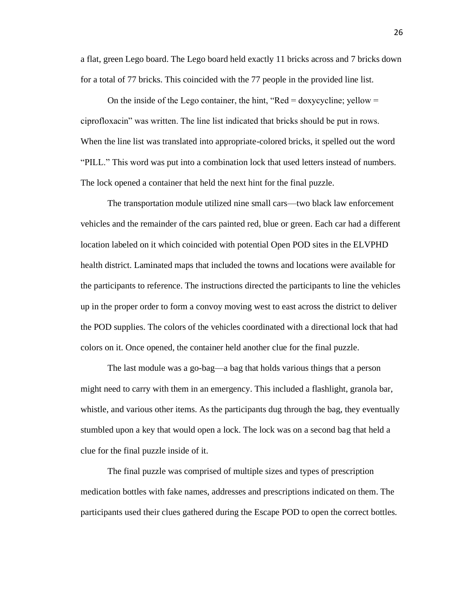a flat, green Lego board. The Lego board held exactly 11 bricks across and 7 bricks down for a total of 77 bricks. This coincided with the 77 people in the provided line list.

On the inside of the Lego container, the hint, "Red  $=$  doxycycline; yellow  $=$ ciprofloxacin" was written. The line list indicated that bricks should be put in rows. When the line list was translated into appropriate-colored bricks, it spelled out the word "PILL." This word was put into a combination lock that used letters instead of numbers. The lock opened a container that held the next hint for the final puzzle.

The transportation module utilized nine small cars—two black law enforcement vehicles and the remainder of the cars painted red, blue or green. Each car had a different location labeled on it which coincided with potential Open POD sites in the ELVPHD health district. Laminated maps that included the towns and locations were available for the participants to reference. The instructions directed the participants to line the vehicles up in the proper order to form a convoy moving west to east across the district to deliver the POD supplies. The colors of the vehicles coordinated with a directional lock that had colors on it. Once opened, the container held another clue for the final puzzle.

The last module was a go-bag—a bag that holds various things that a person might need to carry with them in an emergency. This included a flashlight, granola bar, whistle, and various other items. As the participants dug through the bag, they eventually stumbled upon a key that would open a lock. The lock was on a second bag that held a clue for the final puzzle inside of it.

The final puzzle was comprised of multiple sizes and types of prescription medication bottles with fake names, addresses and prescriptions indicated on them. The participants used their clues gathered during the Escape POD to open the correct bottles.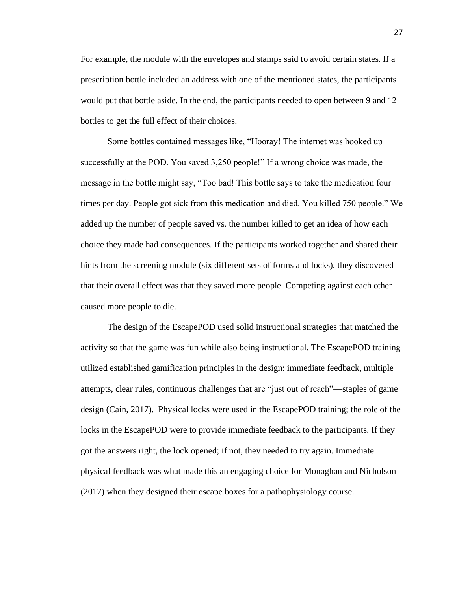For example, the module with the envelopes and stamps said to avoid certain states. If a prescription bottle included an address with one of the mentioned states, the participants would put that bottle aside. In the end, the participants needed to open between 9 and 12 bottles to get the full effect of their choices.

Some bottles contained messages like, "Hooray! The internet was hooked up successfully at the POD. You saved 3,250 people!" If a wrong choice was made, the message in the bottle might say, "Too bad! This bottle says to take the medication four times per day. People got sick from this medication and died. You killed 750 people." We added up the number of people saved vs. the number killed to get an idea of how each choice they made had consequences. If the participants worked together and shared their hints from the screening module (six different sets of forms and locks), they discovered that their overall effect was that they saved more people. Competing against each other caused more people to die.

The design of the EscapePOD used solid instructional strategies that matched the activity so that the game was fun while also being instructional. The EscapePOD training utilized established gamification principles in the design: immediate feedback, multiple attempts, clear rules, continuous challenges that are "just out of reach"—staples of game design (Cain, 2017). Physical locks were used in the EscapePOD training; the role of the locks in the EscapePOD were to provide immediate feedback to the participants. If they got the answers right, the lock opened; if not, they needed to try again. Immediate physical feedback was what made this an engaging choice for Monaghan and Nicholson (2017) when they designed their escape boxes for a pathophysiology course.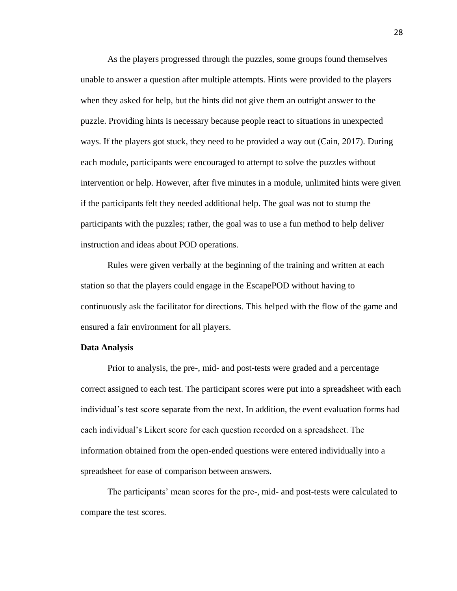As the players progressed through the puzzles, some groups found themselves unable to answer a question after multiple attempts. Hints were provided to the players when they asked for help, but the hints did not give them an outright answer to the puzzle. Providing hints is necessary because people react to situations in unexpected ways. If the players got stuck, they need to be provided a way out (Cain, 2017). During each module, participants were encouraged to attempt to solve the puzzles without intervention or help. However, after five minutes in a module, unlimited hints were given if the participants felt they needed additional help. The goal was not to stump the participants with the puzzles; rather, the goal was to use a fun method to help deliver instruction and ideas about POD operations.

Rules were given verbally at the beginning of the training and written at each station so that the players could engage in the EscapePOD without having to continuously ask the facilitator for directions. This helped with the flow of the game and ensured a fair environment for all players.

#### **Data Analysis**

Prior to analysis, the pre-, mid- and post-tests were graded and a percentage correct assigned to each test. The participant scores were put into a spreadsheet with each individual's test score separate from the next. In addition, the event evaluation forms had each individual's Likert score for each question recorded on a spreadsheet. The information obtained from the open-ended questions were entered individually into a spreadsheet for ease of comparison between answers.

The participants' mean scores for the pre-, mid- and post-tests were calculated to compare the test scores.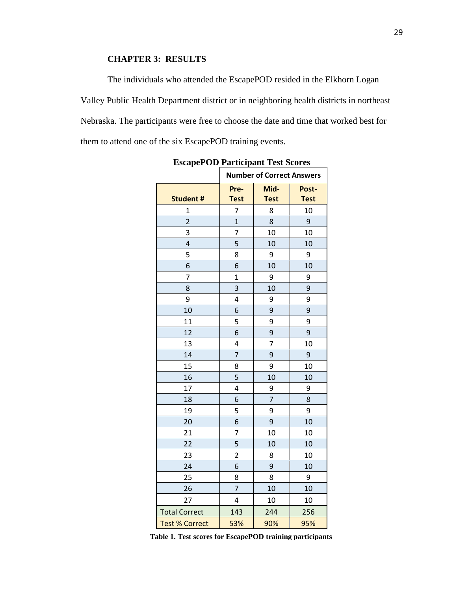### **CHAPTER 3: RESULTS**

The individuals who attended the EscapePOD resided in the Elkhorn Logan Valley Public Health Department district or in neighboring health districts in northeast Nebraska. The participants were free to choose the date and time that worked best for them to attend one of the six EscapePOD training events.

|                       | <b>Number of Correct Answers</b> |                |             |
|-----------------------|----------------------------------|----------------|-------------|
|                       | Pre-<br>Mid-                     |                | Post-       |
| <b>Student #</b>      | <b>Test</b>                      | <b>Test</b>    | <b>Test</b> |
| 1                     | 7                                | 8              | 10          |
| $\overline{2}$        | $\overline{1}$                   | 8              | 9           |
| 3                     | 7                                | 10             | 10          |
| 4                     | 5                                | 10             | 10          |
| 5                     | 8                                | 9              | 9           |
| 6                     | 6                                | 10             | 10          |
| 7                     | $\overline{1}$                   | 9              | 9           |
| 8                     | 3                                | 10             | 9           |
| 9                     | 4                                | 9              | 9           |
| 10                    | 6                                | 9              | 9           |
| 11                    | 5                                | 9              | 9           |
| 12                    | 6                                | 9              | 9           |
| 13                    | 4                                | 7              | 10          |
| 14                    | $\overline{7}$                   | 9              | 9           |
| 15                    | 8                                | 9              | 10          |
| 16                    | 5                                | 10             | 10          |
| 17                    | 4                                | 9              | 9           |
| 18                    | 6                                | $\overline{7}$ | 8           |
| 19                    | 5                                | 9              | 9           |
| 20                    | 6                                | $\mathsf 9$    | 10          |
| 21                    | 7                                | 10             | 10          |
| 22                    | 5                                | 10             | 10          |
| 23                    | $\overline{2}$                   | 8              | 10          |
| 24                    | 6                                | 9              | 10          |
| 25                    | 8                                | 8              | 9           |
| 26                    | 7                                | 10             | 10          |
| 27                    | 4                                | 10             | 10          |
| <b>Total Correct</b>  | 143                              | 244            | 256         |
| <b>Test % Correct</b> | 53%                              | 90%            | 95%         |

**EscapePOD Participant Test Scores**

**Table 1. Test scores for EscapePOD training participants**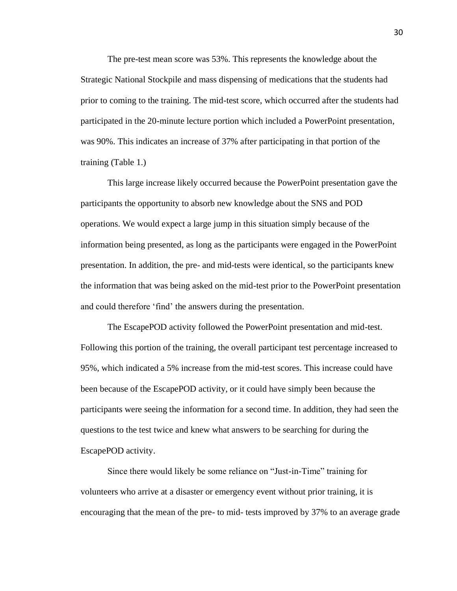The pre-test mean score was 53%. This represents the knowledge about the Strategic National Stockpile and mass dispensing of medications that the students had prior to coming to the training. The mid-test score, which occurred after the students had participated in the 20-minute lecture portion which included a PowerPoint presentation, was 90%. This indicates an increase of 37% after participating in that portion of the training (Table 1.)

This large increase likely occurred because the PowerPoint presentation gave the participants the opportunity to absorb new knowledge about the SNS and POD operations. We would expect a large jump in this situation simply because of the information being presented, as long as the participants were engaged in the PowerPoint presentation. In addition, the pre- and mid-tests were identical, so the participants knew the information that was being asked on the mid-test prior to the PowerPoint presentation and could therefore 'find' the answers during the presentation.

The EscapePOD activity followed the PowerPoint presentation and mid-test. Following this portion of the training, the overall participant test percentage increased to 95%, which indicated a 5% increase from the mid-test scores. This increase could have been because of the EscapePOD activity, or it could have simply been because the participants were seeing the information for a second time. In addition, they had seen the questions to the test twice and knew what answers to be searching for during the EscapePOD activity.

Since there would likely be some reliance on "Just-in-Time" training for volunteers who arrive at a disaster or emergency event without prior training, it is encouraging that the mean of the pre- to mid- tests improved by 37% to an average grade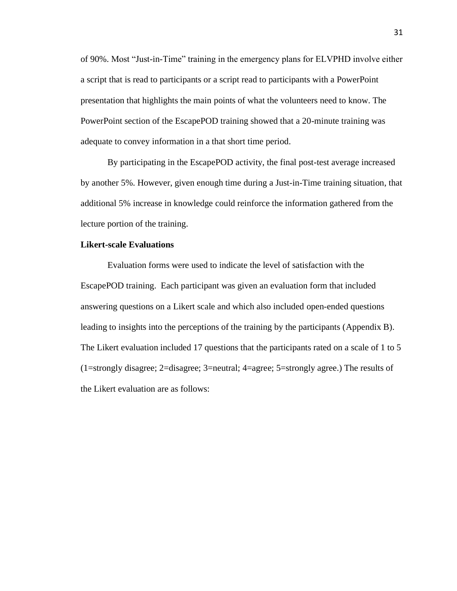of 90%. Most "Just-in-Time" training in the emergency plans for ELVPHD involve either a script that is read to participants or a script read to participants with a PowerPoint presentation that highlights the main points of what the volunteers need to know. The PowerPoint section of the EscapePOD training showed that a 20-minute training was adequate to convey information in a that short time period.

By participating in the EscapePOD activity, the final post-test average increased by another 5%. However, given enough time during a Just-in-Time training situation, that additional 5% increase in knowledge could reinforce the information gathered from the lecture portion of the training.

#### **Likert-scale Evaluations**

Evaluation forms were used to indicate the level of satisfaction with the EscapePOD training. Each participant was given an evaluation form that included answering questions on a Likert scale and which also included open-ended questions leading to insights into the perceptions of the training by the participants (Appendix B). The Likert evaluation included 17 questions that the participants rated on a scale of 1 to 5 (1=strongly disagree; 2=disagree; 3=neutral; 4=agree; 5=strongly agree.) The results of the Likert evaluation are as follows: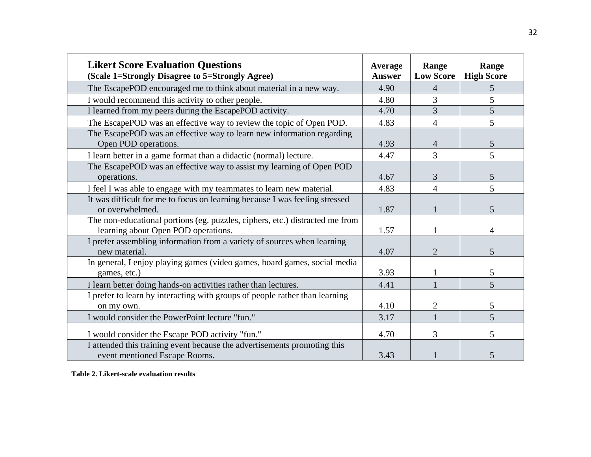| <b>Likert Score Evaluation Questions</b><br>(Scale 1=Strongly Disagree to 5=Strongly Agree)                         |                       | Range<br><b>Low Score</b> | Range<br><b>High Score</b> |
|---------------------------------------------------------------------------------------------------------------------|-----------------------|---------------------------|----------------------------|
| The EscapePOD encouraged me to think about material in a new way.                                                   | <b>Answer</b><br>4.90 | $\overline{4}$            | 5                          |
| I would recommend this activity to other people.                                                                    | 4.80                  | 3                         | 5                          |
| I learned from my peers during the EscapePOD activity.                                                              | 4.70                  | $\overline{3}$            | 5                          |
| The EscapePOD was an effective way to review the topic of Open POD.                                                 | 4.83                  | $\overline{4}$            | 5                          |
| The EscapePOD was an effective way to learn new information regarding<br>Open POD operations.                       | 4.93                  | $\overline{4}$            | 5                          |
| I learn better in a game format than a didactic (normal) lecture.                                                   | 4.47                  | $\overline{3}$            | 5                          |
| The EscapePOD was an effective way to assist my learning of Open POD<br>operations.                                 | 4.67                  | 3                         | 5                          |
| I feel I was able to engage with my teammates to learn new material.                                                | 4.83                  | $\overline{4}$            | 5                          |
| It was difficult for me to focus on learning because I was feeling stressed<br>or overwhelmed.                      | 1.87                  |                           | 5                          |
| The non-educational portions (eg. puzzles, ciphers, etc.) distracted me from<br>learning about Open POD operations. | 1.57                  |                           | 4                          |
| I prefer assembling information from a variety of sources when learning<br>new material.                            | 4.07                  | $\overline{2}$            | 5                          |
| In general, I enjoy playing games (video games, board games, social media<br>games, etc.)                           | 3.93                  |                           | 5                          |
| I learn better doing hands-on activities rather than lectures.                                                      | 4.41                  |                           | 5                          |
| I prefer to learn by interacting with groups of people rather than learning<br>on my own.                           | 4.10                  | $\overline{2}$            | 5                          |
| I would consider the PowerPoint lecture "fun."                                                                      | 3.17                  |                           | 5                          |
| I would consider the Escape POD activity "fun."                                                                     | 4.70                  | 3                         | 5                          |
| I attended this training event because the advertisements promoting this<br>event mentioned Escape Rooms.           | 3.43                  |                           | 5                          |

**Table 2. Likert-scale evaluation results**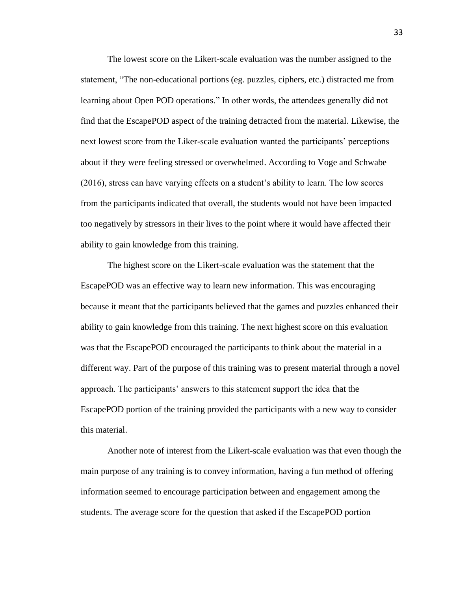The lowest score on the Likert-scale evaluation was the number assigned to the statement, "The non-educational portions (eg. puzzles, ciphers, etc.) distracted me from learning about Open POD operations." In other words, the attendees generally did not find that the EscapePOD aspect of the training detracted from the material. Likewise, the next lowest score from the Liker-scale evaluation wanted the participants' perceptions about if they were feeling stressed or overwhelmed. According to Voge and Schwabe (2016), stress can have varying effects on a student's ability to learn. The low scores from the participants indicated that overall, the students would not have been impacted too negatively by stressors in their lives to the point where it would have affected their ability to gain knowledge from this training.

The highest score on the Likert-scale evaluation was the statement that the EscapePOD was an effective way to learn new information. This was encouraging because it meant that the participants believed that the games and puzzles enhanced their ability to gain knowledge from this training. The next highest score on this evaluation was that the EscapePOD encouraged the participants to think about the material in a different way. Part of the purpose of this training was to present material through a novel approach. The participants' answers to this statement support the idea that the EscapePOD portion of the training provided the participants with a new way to consider this material.

Another note of interest from the Likert-scale evaluation was that even though the main purpose of any training is to convey information, having a fun method of offering information seemed to encourage participation between and engagement among the students. The average score for the question that asked if the EscapePOD portion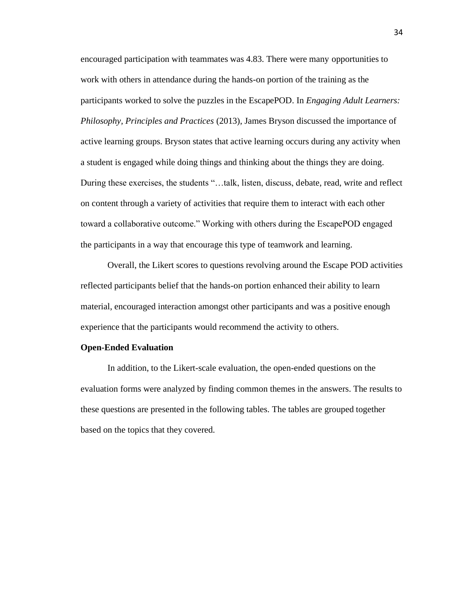encouraged participation with teammates was 4.83. There were many opportunities to work with others in attendance during the hands-on portion of the training as the participants worked to solve the puzzles in the EscapePOD. In *Engaging Adult Learners: Philosophy, Principles and Practices* (2013), James Bryson discussed the importance of active learning groups. Bryson states that active learning occurs during any activity when a student is engaged while doing things and thinking about the things they are doing. During these exercises, the students "…talk, listen, discuss, debate, read, write and reflect on content through a variety of activities that require them to interact with each other toward a collaborative outcome." Working with others during the EscapePOD engaged the participants in a way that encourage this type of teamwork and learning.

Overall, the Likert scores to questions revolving around the Escape POD activities reflected participants belief that the hands-on portion enhanced their ability to learn material, encouraged interaction amongst other participants and was a positive enough experience that the participants would recommend the activity to others.

#### **Open-Ended Evaluation**

In addition, to the Likert-scale evaluation, the open-ended questions on the evaluation forms were analyzed by finding common themes in the answers. The results to these questions are presented in the following tables. The tables are grouped together based on the topics that they covered.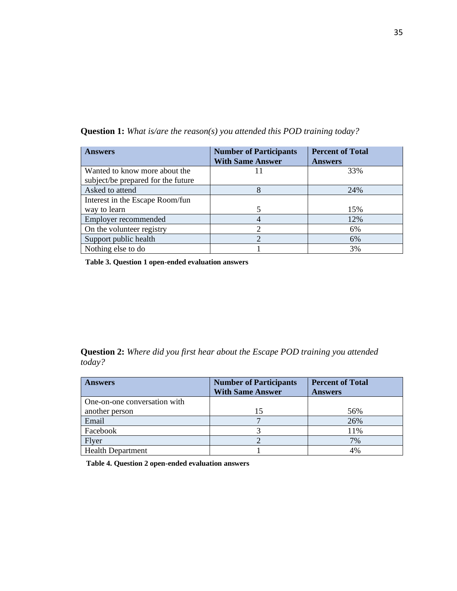| <b>Answers</b>                     | <b>Number of Participants</b><br><b>With Same Answer</b> | <b>Percent of Total</b><br><b>Answers</b> |
|------------------------------------|----------------------------------------------------------|-------------------------------------------|
| Wanted to know more about the      |                                                          | 33%                                       |
| subject/be prepared for the future |                                                          |                                           |
| Asked to attend                    | 8                                                        | 24%                                       |
| Interest in the Escape Room/fun    |                                                          |                                           |
| way to learn                       |                                                          | 15%                                       |
| Employer recommended               |                                                          | 12%                                       |
| On the volunteer registry          |                                                          | 6%                                        |
| Support public health              | ↑                                                        | 6%                                        |
| Nothing else to do                 |                                                          | 3%                                        |

**Question 1:** *What is/are the reason(s) you attended this POD training today?*

**Table 3. Question 1 open-ended evaluation answers**

**Question 2:** *Where did you first hear about the Escape POD training you attended today?*

| <b>Answers</b>               | <b>Number of Participants</b><br><b>With Same Answer</b> | <b>Percent of Total</b><br><b>Answers</b> |
|------------------------------|----------------------------------------------------------|-------------------------------------------|
| One-on-one conversation with |                                                          |                                           |
| another person               | 15                                                       | 56%                                       |
| Email                        |                                                          | 26%                                       |
| Facebook                     |                                                          | 11%                                       |
| Flyer                        |                                                          | 7%                                        |
| <b>Health Department</b>     |                                                          | 4%                                        |

**Table 4. Question 2 open-ended evaluation answers**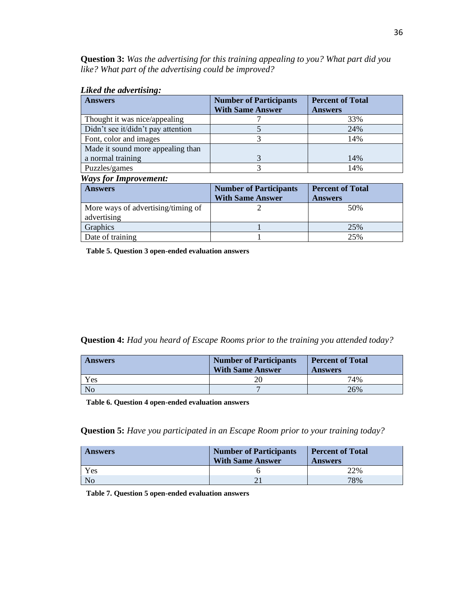**Question 3:** *Was the advertising for this training appealing to you? What part did you like? What part of the advertising could be improved?*

#### *Liked the advertising:*

| <b>Answers</b>                     | <b>Number of Participants</b> | <b>Percent of Total</b> |
|------------------------------------|-------------------------------|-------------------------|
|                                    | <b>With Same Answer</b>       | <b>Answers</b>          |
| Thought it was nice/appealing      |                               | 33%                     |
| Didn't see it/didn't pay attention |                               | 24%                     |
| Font, color and images             |                               | 14%                     |
| Made it sound more appealing than  |                               |                         |
| a normal training                  |                               | 14%                     |
| Puzzles/games                      |                               | 14%                     |
| <b>Ways for Improvement:</b>       |                               |                         |

| <b>Answers</b>                     | <b>Number of Participants</b> | <b>Percent of Total</b> |
|------------------------------------|-------------------------------|-------------------------|
|                                    | <b>With Same Answer</b>       | <b>Answers</b>          |
| More ways of advertising/timing of |                               | 50%                     |
| advertising                        |                               |                         |
| Graphics                           |                               | 25%                     |
| Date of training                   |                               | 25%                     |

**Table 5. Question 3 open-ended evaluation answers**

**Question 4:** *Had you heard of Escape Rooms prior to the training you attended today?*

| <b>Answers</b> | <b>Number of Participants</b><br><b>With Same Answer</b> | <b>Percent of Total</b><br><b>Answers</b> |
|----------------|----------------------------------------------------------|-------------------------------------------|
| Yes            |                                                          | 74%                                       |
| No             |                                                          | 26%                                       |

**Table 6. Question 4 open-ended evaluation answers**

**Question 5:** *Have you participated in an Escape Room prior to your training today?*

| <b>Answers</b> | <b>Number of Participants</b><br><b>With Same Answer</b> | <b>Percent of Total</b><br><b>Answers</b> |
|----------------|----------------------------------------------------------|-------------------------------------------|
| Yes            |                                                          | 22%                                       |
| No             |                                                          | 78%                                       |

**Table 7. Question 5 open-ended evaluation answers**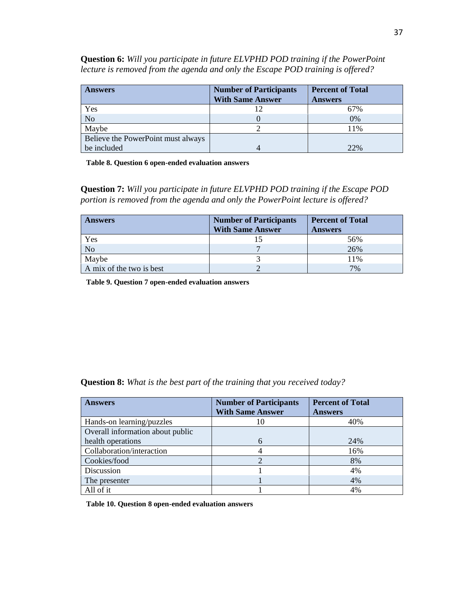| <b>Answers</b>                     | <b>Number of Participants</b><br><b>With Same Answer</b> | <b>Percent of Total</b><br><b>Answers</b> |  |  |
|------------------------------------|----------------------------------------------------------|-------------------------------------------|--|--|
| Yes                                |                                                          | 67%                                       |  |  |
| No                                 |                                                          | 0%                                        |  |  |
| Maybe                              |                                                          | 11%                                       |  |  |
| Believe the PowerPoint must always |                                                          |                                           |  |  |
| be included                        |                                                          | 22%                                       |  |  |

**Question 6:** *Will you participate in future ELVPHD POD training if the PowerPoint lecture is removed from the agenda and only the Escape POD training is offered?*

**Table 8. Question 6 open-ended evaluation answers**

**Question 7:** *Will you participate in future ELVPHD POD training if the Escape POD portion is removed from the agenda and only the PowerPoint lecture is offered?*

| <b>Answers</b>           | <b>Number of Participants</b><br><b>With Same Answer</b> | <b>Percent of Total</b><br><b>Answers</b> |
|--------------------------|----------------------------------------------------------|-------------------------------------------|
| Yes                      |                                                          | 56%                                       |
| No                       |                                                          | 26%                                       |
| Maybe                    |                                                          | 11%                                       |
| A mix of the two is best |                                                          | 7%                                        |

**Table 9. Question 7 open-ended evaluation answers**

| <b>Question 8:</b> What is the best part of the training that you received today? |  |  |  |  |  |  |  |
|-----------------------------------------------------------------------------------|--|--|--|--|--|--|--|
|-----------------------------------------------------------------------------------|--|--|--|--|--|--|--|

| <b>Answers</b>                   | <b>Number of Participants</b> | <b>Percent of Total</b> |
|----------------------------------|-------------------------------|-------------------------|
|                                  | <b>With Same Answer</b>       | <b>Answers</b>          |
| Hands-on learning/puzzles        | 10                            | 40%                     |
| Overall information about public |                               |                         |
| health operations                | 6                             | 24%                     |
| Collaboration/interaction        |                               | 16%                     |
| Cookies/food                     |                               | 8%                      |
| Discussion                       |                               | 4%                      |
| The presenter                    |                               | 4%                      |
| All of it                        |                               | 4%                      |

**Table 10. Question 8 open-ended evaluation answers**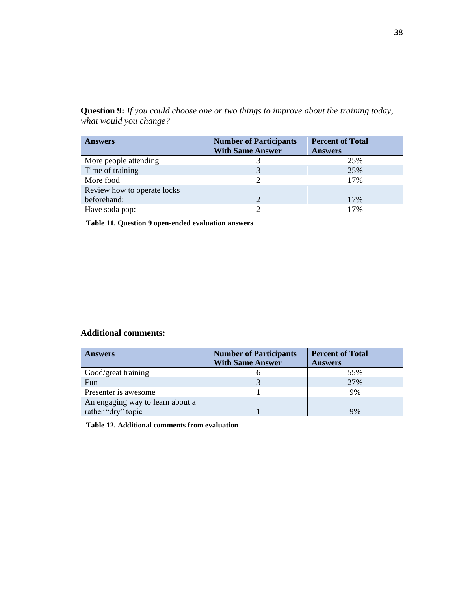**Question 9:** *If you could choose one or two things to improve about the training today, what would you change?*

| <b>Answers</b>              | <b>Number of Participants</b> | <b>Percent of Total</b> |
|-----------------------------|-------------------------------|-------------------------|
|                             | <b>With Same Answer</b>       | <b>Answers</b>          |
| More people attending       |                               | 25%                     |
| Time of training            |                               | 25%                     |
| More food                   |                               | 17%                     |
| Review how to operate locks |                               |                         |
| beforehand:                 |                               | 17%                     |
| Have soda pop:              |                               | 17%                     |

**Table 11. Question 9 open-ended evaluation answers**

### **Additional comments:**

| <b>Answers</b>                   | <b>Number of Participants</b><br><b>With Same Answer</b> | <b>Percent of Total</b><br><b>Answers</b> |
|----------------------------------|----------------------------------------------------------|-------------------------------------------|
| Good/great training              |                                                          | 55%                                       |
| Fun                              |                                                          | 27%                                       |
| Presenter is awesome             |                                                          | 9%                                        |
| An engaging way to learn about a |                                                          |                                           |
| rather "dry" topic               |                                                          | 9%                                        |

**Table 12. Additional comments from evaluation**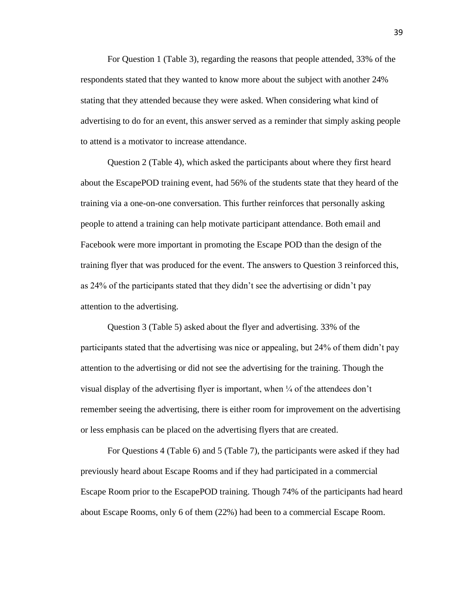For Question 1 (Table 3), regarding the reasons that people attended, 33% of the respondents stated that they wanted to know more about the subject with another 24% stating that they attended because they were asked. When considering what kind of advertising to do for an event, this answer served as a reminder that simply asking people to attend is a motivator to increase attendance.

Question 2 (Table 4), which asked the participants about where they first heard about the EscapePOD training event, had 56% of the students state that they heard of the training via a one-on-one conversation. This further reinforces that personally asking people to attend a training can help motivate participant attendance. Both email and Facebook were more important in promoting the Escape POD than the design of the training flyer that was produced for the event. The answers to Question 3 reinforced this, as 24% of the participants stated that they didn't see the advertising or didn't pay attention to the advertising.

Question 3 (Table 5) asked about the flyer and advertising. 33% of the participants stated that the advertising was nice or appealing, but 24% of them didn't pay attention to the advertising or did not see the advertising for the training. Though the visual display of the advertising flyer is important, when  $\frac{1}{4}$  of the attendees don't remember seeing the advertising, there is either room for improvement on the advertising or less emphasis can be placed on the advertising flyers that are created.

For Questions 4 (Table 6) and 5 (Table 7), the participants were asked if they had previously heard about Escape Rooms and if they had participated in a commercial Escape Room prior to the EscapePOD training. Though 74% of the participants had heard about Escape Rooms, only 6 of them (22%) had been to a commercial Escape Room.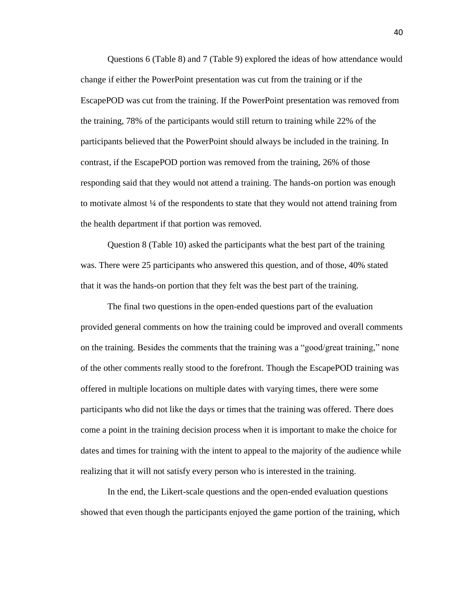Questions 6 (Table 8) and 7 (Table 9) explored the ideas of how attendance would change if either the PowerPoint presentation was cut from the training or if the EscapePOD was cut from the training. If the PowerPoint presentation was removed from the training, 78% of the participants would still return to training while 22% of the participants believed that the PowerPoint should always be included in the training. In contrast, if the EscapePOD portion was removed from the training, 26% of those responding said that they would not attend a training. The hands-on portion was enough to motivate almost ¼ of the respondents to state that they would not attend training from the health department if that portion was removed.

Question 8 (Table 10) asked the participants what the best part of the training was. There were 25 participants who answered this question, and of those, 40% stated that it was the hands-on portion that they felt was the best part of the training.

The final two questions in the open-ended questions part of the evaluation provided general comments on how the training could be improved and overall comments on the training. Besides the comments that the training was a "good/great training," none of the other comments really stood to the forefront. Though the EscapePOD training was offered in multiple locations on multiple dates with varying times, there were some participants who did not like the days or times that the training was offered. There does come a point in the training decision process when it is important to make the choice for dates and times for training with the intent to appeal to the majority of the audience while realizing that it will not satisfy every person who is interested in the training.

In the end, the Likert-scale questions and the open-ended evaluation questions showed that even though the participants enjoyed the game portion of the training, which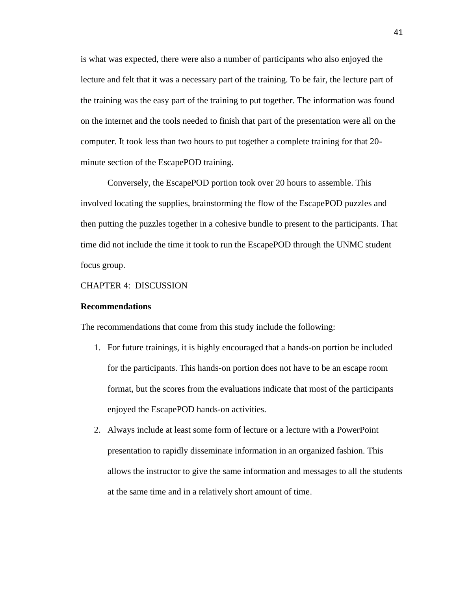is what was expected, there were also a number of participants who also enjoyed the lecture and felt that it was a necessary part of the training. To be fair, the lecture part of the training was the easy part of the training to put together. The information was found on the internet and the tools needed to finish that part of the presentation were all on the computer. It took less than two hours to put together a complete training for that 20 minute section of the EscapePOD training.

Conversely, the EscapePOD portion took over 20 hours to assemble. This involved locating the supplies, brainstorming the flow of the EscapePOD puzzles and then putting the puzzles together in a cohesive bundle to present to the participants. That time did not include the time it took to run the EscapePOD through the UNMC student focus group.

#### CHAPTER 4: DISCUSSION

#### **Recommendations**

The recommendations that come from this study include the following:

- 1. For future trainings, it is highly encouraged that a hands-on portion be included for the participants. This hands-on portion does not have to be an escape room format, but the scores from the evaluations indicate that most of the participants enjoyed the EscapePOD hands-on activities.
- 2. Always include at least some form of lecture or a lecture with a PowerPoint presentation to rapidly disseminate information in an organized fashion. This allows the instructor to give the same information and messages to all the students at the same time and in a relatively short amount of time.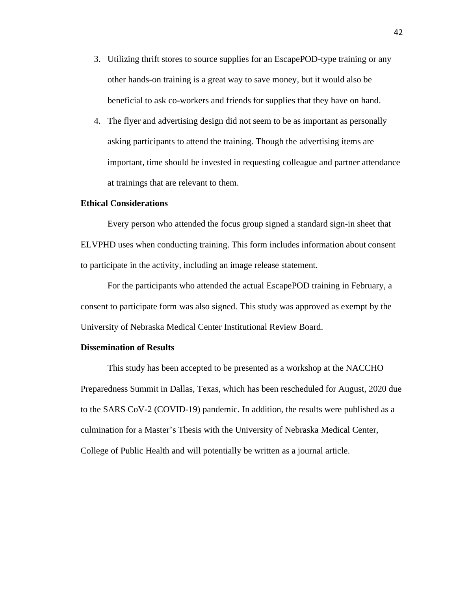- 3. Utilizing thrift stores to source supplies for an EscapePOD-type training or any other hands-on training is a great way to save money, but it would also be beneficial to ask co-workers and friends for supplies that they have on hand.
- 4. The flyer and advertising design did not seem to be as important as personally asking participants to attend the training. Though the advertising items are important, time should be invested in requesting colleague and partner attendance at trainings that are relevant to them.

#### **Ethical Considerations**

Every person who attended the focus group signed a standard sign-in sheet that ELVPHD uses when conducting training. This form includes information about consent to participate in the activity, including an image release statement.

For the participants who attended the actual EscapePOD training in February, a consent to participate form was also signed. This study was approved as exempt by the University of Nebraska Medical Center Institutional Review Board.

#### **Dissemination of Results**

This study has been accepted to be presented as a workshop at the NACCHO Preparedness Summit in Dallas, Texas, which has been rescheduled for August, 2020 due to the SARS CoV-2 (COVID-19) pandemic. In addition, the results were published as a culmination for a Master's Thesis with the University of Nebraska Medical Center, College of Public Health and will potentially be written as a journal article.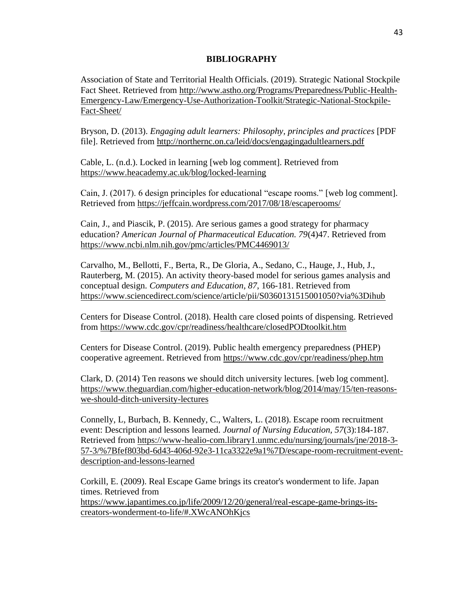#### **BIBLIOGRAPHY**

Association of State and Territorial Health Officials. (2019). Strategic National Stockpile Fact Sheet. Retrieved from [http://www.astho.org/Programs/Preparedness/Public-Health-](http://www.astho.org/Programs/Preparedness/Public-Health-Emergency-Law/Emergency-Use-Authorization-Toolkit/Strategic-National-Stockpile-Fact-Sheet/)[Emergency-Law/Emergency-Use-Authorization-Toolkit/Strategic-National-Stockpile-](http://www.astho.org/Programs/Preparedness/Public-Health-Emergency-Law/Emergency-Use-Authorization-Toolkit/Strategic-National-Stockpile-Fact-Sheet/)[Fact-Sheet/](http://www.astho.org/Programs/Preparedness/Public-Health-Emergency-Law/Emergency-Use-Authorization-Toolkit/Strategic-National-Stockpile-Fact-Sheet/)

Bryson, D. (2013). *Engaging adult learners: Philosophy, principles and practices* [PDF file]. Retrieved from<http://northernc.on.ca/leid/docs/engagingadultlearners.pdf>

Cable, L. (n.d.). Locked in learning [web log comment]. Retrieved from <https://www.heacademy.ac.uk/blog/locked-learning>

Cain, J. (2017). 6 design principles for educational "escape rooms." [web log comment]. Retrieved from<https://jeffcain.wordpress.com/2017/08/18/escaperooms/>

Cain, J., and Piascik, P. (2015). Are serious games a good strategy for pharmacy education? *American Journal of Pharmaceutical Education. 79*(4)47. Retrieved from <https://www.ncbi.nlm.nih.gov/pmc/articles/PMC4469013/>

Carvalho, M., Bellotti, F., Berta, R., De Gloria, A., Sedano, C., Hauge, J., Hub, J., Rauterberg, M. (2015). An activity theory-based model for serious games analysis and conceptual design. *Computers and Education*, *87*, 166-181. Retrieved from <https://www.sciencedirect.com/science/article/pii/S0360131515001050?via%3Dihub>

Centers for Disease Control. (2018). Health care closed points of dispensing. Retrieved from<https://www.cdc.gov/cpr/readiness/healthcare/closedPODtoolkit.htm>

Centers for Disease Control. (2019). Public health emergency preparedness (PHEP) cooperative agreement. Retrieved from<https://www.cdc.gov/cpr/readiness/phep.htm>

Clark, D. (2014) Ten reasons we should ditch university lectures. [web log comment]. [https://www.theguardian.com/higher-education-network/blog/2014/may/15/ten-reasons](https://www.theguardian.com/higher-education-network/blog/2014/may/15/ten-reasons-we-should-ditch-university-lectures)[we-should-ditch-university-lectures](https://www.theguardian.com/higher-education-network/blog/2014/may/15/ten-reasons-we-should-ditch-university-lectures)

Connelly, L, Burbach, B. Kennedy, C., Walters, L. (2018). Escape room recruitment event: Description and lessons learned. *Journal of Nursing Education, 57*(3):184-187. Retrieved from [https://www-healio-com.library1.unmc.edu/nursing/journals/jne/2018-3-](https://www-healio-com.library1.unmc.edu/nursing/journals/jne/2018-3-57-3/%7Bfef803bd-6d43-406d-92e3-11ca3322e9a1%7D/escape-room-recruitment-event-description-and-lessons-learned) [57-3/%7Bfef803bd-6d43-406d-92e3-11ca3322e9a1%7D/escape-room-recruitment-event](https://www-healio-com.library1.unmc.edu/nursing/journals/jne/2018-3-57-3/%7Bfef803bd-6d43-406d-92e3-11ca3322e9a1%7D/escape-room-recruitment-event-description-and-lessons-learned)[description-and-lessons-learned](https://www-healio-com.library1.unmc.edu/nursing/journals/jne/2018-3-57-3/%7Bfef803bd-6d43-406d-92e3-11ca3322e9a1%7D/escape-room-recruitment-event-description-and-lessons-learned)

Corkill, E. (2009). Real Escape Game brings its creator's wonderment to life. Japan times. Retrieved from [https://www.japantimes.co.jp/life/2009/12/20/general/real-escape-game-brings-its](https://www.japantimes.co.jp/life/2009/12/20/general/real-escape-game-brings-its-creators-wonderment-to-life/#.XWcANOhKjcs)[creators-wonderment-to-life/#.XWcANOhKjcs](https://www.japantimes.co.jp/life/2009/12/20/general/real-escape-game-brings-its-creators-wonderment-to-life/#.XWcANOhKjcs)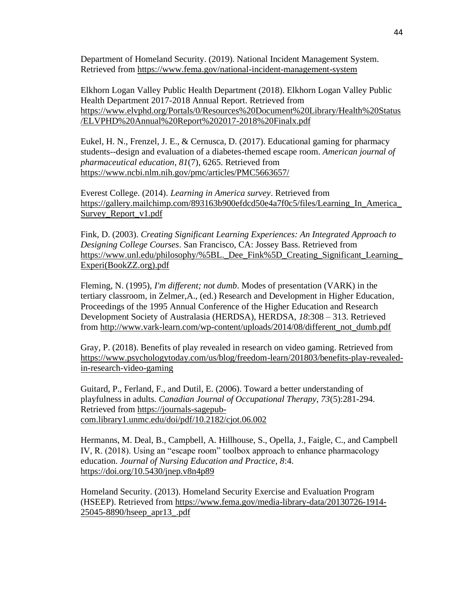Department of Homeland Security. (2019). National Incident Management System. Retrieved from<https://www.fema.gov/national-incident-management-system>

Elkhorn Logan Valley Public Health Department (2018). Elkhorn Logan Valley Public Health Department 2017-2018 Annual Report. Retrieved from [https://www.elvphd.org/Portals/0/Resources%20Document%20Library/Health%20Status](https://www.elvphd.org/Portals/0/Resources%20Document%20Library/Health%20Status/ELVPHD%20Annual%20Report%202017-2018%20Finalx.pdf) [/ELVPHD%20Annual%20Report%202017-2018%20Finalx.pdf](https://www.elvphd.org/Portals/0/Resources%20Document%20Library/Health%20Status/ELVPHD%20Annual%20Report%202017-2018%20Finalx.pdf)

Eukel, H. N., Frenzel, J. E., & Cernusca, D. (2017). Educational gaming for pharmacy students--design and evaluation of a diabetes-themed escape room. *American journal of pharmaceutical education*, *81*(7), 6265. Retrieved from <https://www.ncbi.nlm.nih.gov/pmc/articles/PMC5663657/>

Everest College. (2014). *Learning in America survey*. Retrieved from [https://gallery.mailchimp.com/893163b900efdcd50e4a7f0c5/files/Learning\\_In\\_America\\_](https://gallery.mailchimp.com/893163b900efdcd50e4a7f0c5/files/Learning_In_America_Survey_Report_v1.pdf) [Survey\\_Report\\_v1.pdf](https://gallery.mailchimp.com/893163b900efdcd50e4a7f0c5/files/Learning_In_America_Survey_Report_v1.pdf)

Fink, D. (2003). *Creating Significant Learning Experiences: An Integrated Approach to Designing College Courses*. San Francisco, CA: Jossey Bass. Retrieved from [https://www.unl.edu/philosophy/%5BL.\\_Dee\\_Fink%5D\\_Creating\\_Significant\\_Learning\\_](https://www.unl.edu/philosophy/%5BL._Dee_Fink%5D_Creating_Significant_Learning_Experi(BookZZ.org).pdf) [Experi\(BookZZ.org\).pdf](https://www.unl.edu/philosophy/%5BL._Dee_Fink%5D_Creating_Significant_Learning_Experi(BookZZ.org).pdf)

Fleming, N. (1995), *I'm different; not dumb*. Modes of presentation (VARK) in the tertiary classroom, in Zelmer,A., (ed.) Research and Development in Higher Education, Proceedings of the 1995 Annual Conference of the Higher Education and Research Development Society of Australasia (HERDSA), HERDSA, *18*:308 – 313. Retrieved from [http://www.vark-learn.com/wp-content/uploads/2014/08/different\\_not\\_dumb.pdf](http://www.vark-learn.com/wp-content/uploads/2014/08/different_not_dumb.pdf)

Gray, P. (2018). Benefits of play revealed in research on video gaming. Retrieved from [https://www.psychologytoday.com/us/blog/freedom-learn/201803/benefits-play-revealed](https://www.psychologytoday.com/us/blog/freedom-learn/201803/benefits-play-revealed-in-research-video-gaming)[in-research-video-gaming](https://www.psychologytoday.com/us/blog/freedom-learn/201803/benefits-play-revealed-in-research-video-gaming)

Guitard, P., Ferland, F., and Dutil, E. (2006). Toward a better understanding of playfulness in adults. *Canadian Journal of Occupational Therapy, 73*(5):281-294. Retrieved from [https://journals-sagepub](https://journals-sagepub-com.library1.unmc.edu/doi/pdf/10.2182/cjot.06.002)[com.library1.unmc.edu/doi/pdf/10.2182/cjot.06.002](https://journals-sagepub-com.library1.unmc.edu/doi/pdf/10.2182/cjot.06.002)

Hermanns, M. Deal, B., Campbell, A. Hillhouse, S., Opella, J., Faigle, C., and Campbell IV, R. (2018). Using an "escape room" toolbox approach to enhance pharmacology education. *Journal of Nursing Education and Practice, 8*:4. <https://doi.org/10.5430/jnep.v8n4p89>

Homeland Security. (2013). Homeland Security Exercise and Evaluation Program (HSEEP). Retrieved from [https://www.fema.gov/media-library-data/20130726-1914-](https://www.fema.gov/media-library-data/20130726-1914-25045-8890/hseep_apr13_.pdf) [25045-8890/hseep\\_apr13\\_.pdf](https://www.fema.gov/media-library-data/20130726-1914-25045-8890/hseep_apr13_.pdf)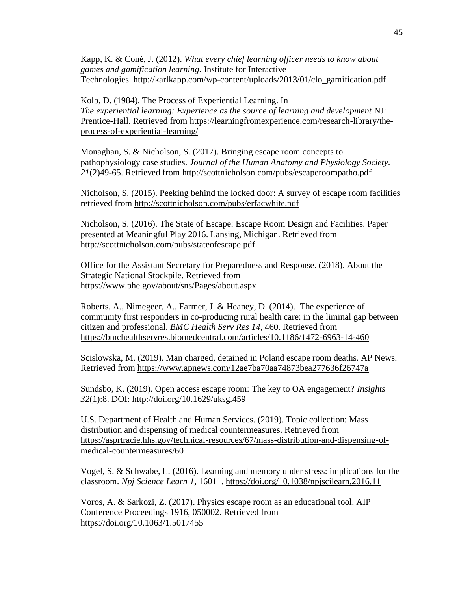Kapp, K. & Coné, J. (2012). *What every chief learning officer needs to know about games and gamification learning*. Institute for Interactive Technologies. [http://karlkapp.com/wp-content/uploads/2013/01/clo\\_gamification.pdf](http://karlkapp.com/wp-content/uploads/2013/01/clo_gamification.pdf)

Kolb, D. (1984). The Process of Experiential Learning. In *The experiential learning: Experience as the source of learning and development* NJ: Prentice-Hall. Retrieved from [https://learningfromexperience.com/research-library/the](https://learningfromexperience.com/research-library/the-process-of-experiential-learning/)[process-of-experiential-learning/](https://learningfromexperience.com/research-library/the-process-of-experiential-learning/)

Monaghan, S. & Nicholson, S. (2017). Bringing escape room concepts to pathophysiology case studies. *Journal of the Human Anatomy and Physiology Society. 21*(2)49-65. Retrieved from<http://scottnicholson.com/pubs/escaperoompatho.pdf>

Nicholson, S. (2015). Peeking behind the locked door: A survey of escape room facilities retrieved from<http://scottnicholson.com/pubs/erfacwhite.pdf>

Nicholson, S. (2016). The State of Escape: Escape Room Design and Facilities. Paper presented at Meaningful Play 2016. Lansing, Michigan. Retrieved from <http://scottnicholson.com/pubs/stateofescape.pdf>

Office for the Assistant Secretary for Preparedness and Response. (2018). About the Strategic National Stockpile. Retrieved from <https://www.phe.gov/about/sns/Pages/about.aspx>

Roberts, A., Nimegeer, A., Farmer, J. & Heaney, D. (2014). The experience of community first responders in co-producing rural health care: in the liminal gap between citizen and professional. *BMC Health Serv Res 14*, 460. Retrieved from <https://bmchealthservres.biomedcentral.com/articles/10.1186/1472-6963-14-460>

Scislowska, M. (2019). Man charged, detained in Poland escape room deaths. AP News. Retrieved from<https://www.apnews.com/12ae7ba70aa74873bea277636f26747a>

Sundsbo, K. (2019). Open access escape room: The key to OA engagement? *Insights 32*(1):8. DOI:<http://doi.org/10.1629/uksg.459>

U.S. Department of Health and Human Services. (2019). Topic collection: Mass distribution and dispensing of medical countermeasures. Retrieved from [https://asprtracie.hhs.gov/technical-resources/67/mass-distribution-and-dispensing-of](https://asprtracie.hhs.gov/technical-resources/67/mass-distribution-and-dispensing-of-medical-countermeasures/60)[medical-countermeasures/60](https://asprtracie.hhs.gov/technical-resources/67/mass-distribution-and-dispensing-of-medical-countermeasures/60)

Vogel, S. & Schwabe, L. (2016). Learning and memory under stress: implications for the classroom. *Npj Science Learn 1,* 16011. https://doi.org/10.1038/npjscilearn.2016.11

Voros, A. & Sarkozi, Z. (2017). Physics escape room as an educational tool. AIP Conference Proceedings 1916, 050002. Retrieved from <https://doi.org/10.1063/1.5017455>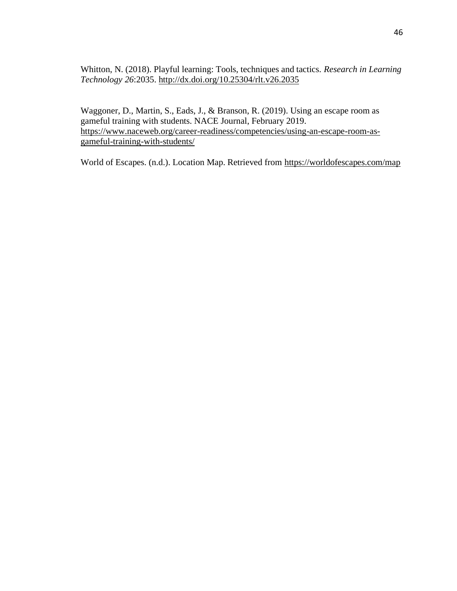Whitton, N. (2018). Playful learning: Tools, techniques and tactics. *Research in Learning Technology 26*:2035.<http://dx.doi.org/10.25304/rlt.v26.2035>

Waggoner, D., Martin, S., Eads, J., & Branson, R. (2019). Using an escape room as gameful training with students. NACE Journal, February 2019. [https://www.naceweb.org/career-readiness/competencies/using-an-escape-room-as](https://www.naceweb.org/career-readiness/competencies/using-an-escape-room-as-gameful-training-with-students/)[gameful-training-with-students/](https://www.naceweb.org/career-readiness/competencies/using-an-escape-room-as-gameful-training-with-students/)

World of Escapes. (n.d.). Location Map. Retrieved from<https://worldofescapes.com/map>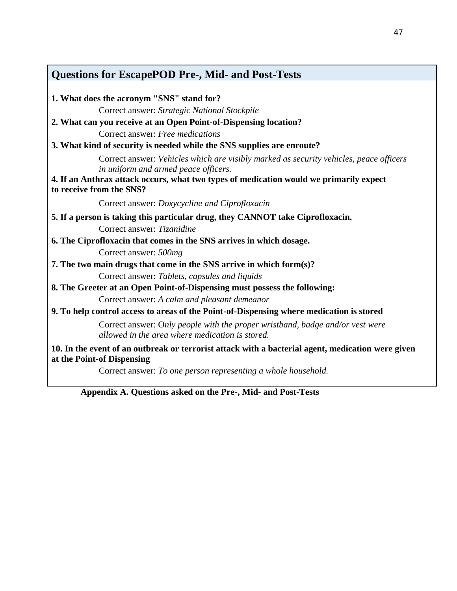## **Questions for EscapePOD Pre-, Mid- and Post-Tests**

| Correct answer: Strategic National Stockpile<br>Correct answer: Free medications<br>Correct answer: Vehicles which are visibly marked as security vehicles, peace officers<br>in uniform and armed peace officers.<br>to receive from the SNS?<br>Correct answer: Doxycycline and Ciprofloxacin<br>Correct answer: Tizanidine<br>6. The Ciprofloxacin that comes in the SNS arrives in which dosage.<br>Correct answer: 500mg<br>7. The two main drugs that come in the SNS arrive in which form(s)?<br>Correct answer: Tablets, capsules and liquids<br>Correct answer: A calm and pleasant demeanor<br>Correct answer: Only people with the proper wristband, badge and/or vest were<br>allowed in the area where medication is stored.<br>10. In the event of an outbreak or terrorist attack with a bacterial agent, medication were given<br>Correct answer: To one person representing a whole household. | 1. What does the acronym "SNS" stand for?                                                |
|-----------------------------------------------------------------------------------------------------------------------------------------------------------------------------------------------------------------------------------------------------------------------------------------------------------------------------------------------------------------------------------------------------------------------------------------------------------------------------------------------------------------------------------------------------------------------------------------------------------------------------------------------------------------------------------------------------------------------------------------------------------------------------------------------------------------------------------------------------------------------------------------------------------------|------------------------------------------------------------------------------------------|
|                                                                                                                                                                                                                                                                                                                                                                                                                                                                                                                                                                                                                                                                                                                                                                                                                                                                                                                 |                                                                                          |
|                                                                                                                                                                                                                                                                                                                                                                                                                                                                                                                                                                                                                                                                                                                                                                                                                                                                                                                 | 2. What can you receive at an Open Point-of-Dispensing location?                         |
|                                                                                                                                                                                                                                                                                                                                                                                                                                                                                                                                                                                                                                                                                                                                                                                                                                                                                                                 |                                                                                          |
|                                                                                                                                                                                                                                                                                                                                                                                                                                                                                                                                                                                                                                                                                                                                                                                                                                                                                                                 | 3. What kind of security is needed while the SNS supplies are enroute?                   |
|                                                                                                                                                                                                                                                                                                                                                                                                                                                                                                                                                                                                                                                                                                                                                                                                                                                                                                                 |                                                                                          |
|                                                                                                                                                                                                                                                                                                                                                                                                                                                                                                                                                                                                                                                                                                                                                                                                                                                                                                                 | 4. If an Anthrax attack occurs, what two types of medication would we primarily expect   |
|                                                                                                                                                                                                                                                                                                                                                                                                                                                                                                                                                                                                                                                                                                                                                                                                                                                                                                                 |                                                                                          |
|                                                                                                                                                                                                                                                                                                                                                                                                                                                                                                                                                                                                                                                                                                                                                                                                                                                                                                                 | 5. If a person is taking this particular drug, they CANNOT take Ciprofloxacin.           |
|                                                                                                                                                                                                                                                                                                                                                                                                                                                                                                                                                                                                                                                                                                                                                                                                                                                                                                                 |                                                                                          |
|                                                                                                                                                                                                                                                                                                                                                                                                                                                                                                                                                                                                                                                                                                                                                                                                                                                                                                                 |                                                                                          |
|                                                                                                                                                                                                                                                                                                                                                                                                                                                                                                                                                                                                                                                                                                                                                                                                                                                                                                                 |                                                                                          |
|                                                                                                                                                                                                                                                                                                                                                                                                                                                                                                                                                                                                                                                                                                                                                                                                                                                                                                                 |                                                                                          |
|                                                                                                                                                                                                                                                                                                                                                                                                                                                                                                                                                                                                                                                                                                                                                                                                                                                                                                                 |                                                                                          |
|                                                                                                                                                                                                                                                                                                                                                                                                                                                                                                                                                                                                                                                                                                                                                                                                                                                                                                                 | 8. The Greeter at an Open Point-of-Dispensing must possess the following:                |
|                                                                                                                                                                                                                                                                                                                                                                                                                                                                                                                                                                                                                                                                                                                                                                                                                                                                                                                 |                                                                                          |
|                                                                                                                                                                                                                                                                                                                                                                                                                                                                                                                                                                                                                                                                                                                                                                                                                                                                                                                 | 9. To help control access to areas of the Point-of-Dispensing where medication is stored |
|                                                                                                                                                                                                                                                                                                                                                                                                                                                                                                                                                                                                                                                                                                                                                                                                                                                                                                                 |                                                                                          |
|                                                                                                                                                                                                                                                                                                                                                                                                                                                                                                                                                                                                                                                                                                                                                                                                                                                                                                                 | at the Point-of Dispensing                                                               |
| Apparently A. Quastions asked on the Pre-Mid- and Post-Tests                                                                                                                                                                                                                                                                                                                                                                                                                                                                                                                                                                                                                                                                                                                                                                                                                                                    |                                                                                          |

**Appendix A. Questions asked on the Pre-, Mid- and Post-Tests**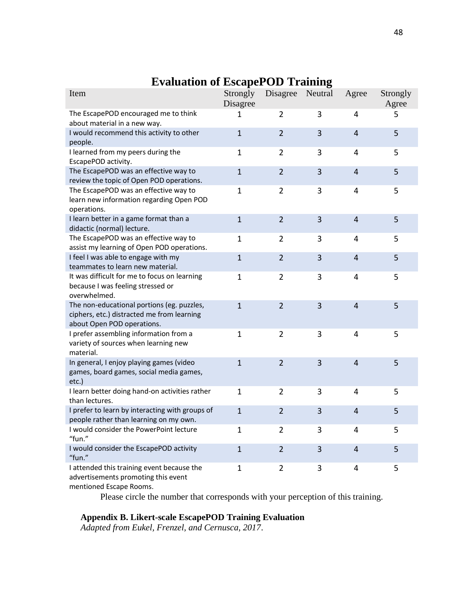| Item                                                                                                                   | Strongly<br>Disagree | Disagree       | Neutral | Agree                    | Strongly<br>Agree |
|------------------------------------------------------------------------------------------------------------------------|----------------------|----------------|---------|--------------------------|-------------------|
| The EscapePOD encouraged me to think<br>about material in a new way.                                                   | 1                    | $\overline{2}$ | 3       | 4                        | 5                 |
| I would recommend this activity to other<br>people.                                                                    | $\mathbf{1}$         | $\overline{2}$ | 3       | 4                        | 5                 |
| I learned from my peers during the<br>EscapePOD activity.                                                              | $\mathbf{1}$         | $\overline{2}$ | 3       | 4                        | 5                 |
| The EscapePOD was an effective way to<br>review the topic of Open POD operations.                                      | $\mathbf{1}$         | $\overline{2}$ | 3       | $\overline{4}$           | 5                 |
| The EscapePOD was an effective way to<br>learn new information regarding Open POD<br>operations.                       | $\mathbf 1$          | $\overline{2}$ | 3       | 4                        | 5                 |
| I learn better in a game format than a<br>didactic (normal) lecture.                                                   | $\mathbf{1}$         | $\overline{2}$ | 3       | $\overline{4}$           | 5                 |
| The EscapePOD was an effective way to<br>assist my learning of Open POD operations.                                    | $\mathbf{1}$         | $\overline{2}$ | 3       | 4                        | 5                 |
| I feel I was able to engage with my<br>teammates to learn new material.                                                | $\mathbf{1}$         | $\overline{2}$ | 3       | 4                        | 5                 |
| It was difficult for me to focus on learning<br>because I was feeling stressed or<br>overwhelmed.                      | $\mathbf{1}$         | $\overline{2}$ | 3       | 4                        | 5                 |
| The non-educational portions (eg. puzzles,<br>ciphers, etc.) distracted me from learning<br>about Open POD operations. | $\mathbf{1}$         | $\overline{2}$ | 3       | $\overline{4}$           | 5                 |
| I prefer assembling information from a<br>variety of sources when learning new<br>material.                            | $\mathbf 1$          | $\overline{2}$ | 3       | 4                        | 5                 |
| In general, I enjoy playing games (video<br>games, board games, social media games,<br>etc.)                           | $\mathbf{1}$         | $\overline{2}$ | 3       | $\overline{4}$           | 5                 |
| I learn better doing hand-on activities rather<br>than lectures.                                                       | $\mathbf 1$          | $\overline{2}$ | 3       | 4                        | 5                 |
| I prefer to learn by interacting with groups of<br>people rather than learning on my own.                              | $\mathbf{1}$         | $\overline{2}$ | 3       | 4                        | 5                 |
| I would consider the PowerPoint lecture<br>"fun."                                                                      | $\mathbf{1}$         | $\overline{2}$ | 3       | 4                        | 5                 |
| I would consider the EscapePOD activity<br>"fun."                                                                      | $\mathbf{1}$         | $\overline{2}$ | 3       | $\overline{\mathcal{L}}$ | 5                 |
| I attended this training event because the<br>advertisements promoting this event                                      | $\mathbf{1}$         | $\overline{2}$ | 3       | 4                        | 5                 |

## **Evaluation of EscapePOD Training**

mentioned Escape Rooms.

Please circle the number that corresponds with your perception of this training.

### **Appendix B. Likert-scale EscapePOD Training Evaluation**

*Adapted from Eukel, Frenzel, and Cernusca, 2017*.